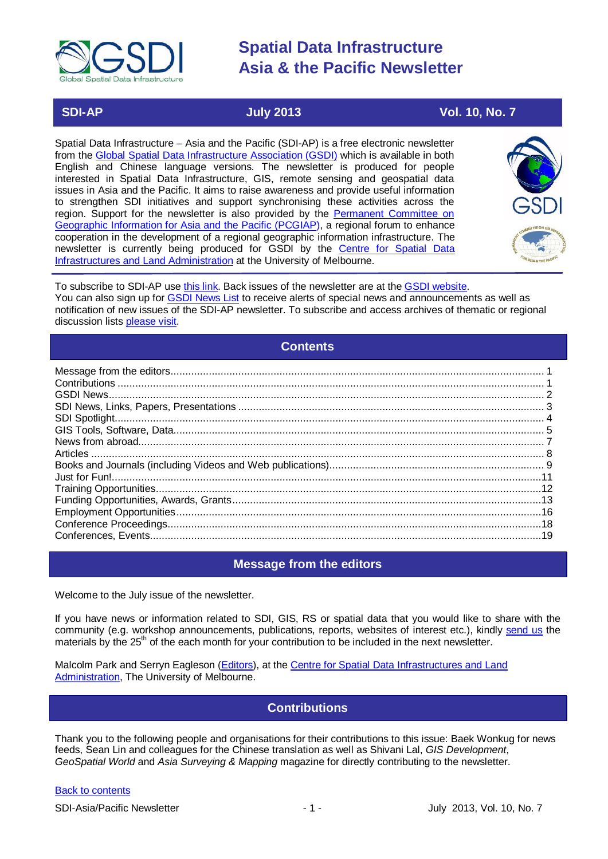

### **SDI-AP July 2013 Vol. 10, No. 7**

Spatial Data Infrastructure – Asia and the Pacific (SDI-AP) is a free electronic newsletter from the [Global Spatial Data Infrastructure Association \(GSDI\)](http://www.gsdi.org/) which is available in both English and Chinese language versions. The newsletter is produced for people interested in Spatial Data Infrastructure, GIS, remote sensing and geospatial data issues in Asia and the Pacific. It aims to raise awareness and provide useful information to strengthen SDI initiatives and support synchronising these activities across the region. Support for the newsletter is also provided by the Permanent Committee on [Geographic Information for Asia and the Pacific \(PCGIAP\)](http://www.pcgiap.org/), a regional forum to enhance cooperation in the development of a regional geographic information infrastructure. The newsletter is currently being produced for GSDI by the [Centre for Spatial Data](http://www.csdila.unimelb.edu.au/)  [Infrastructures and Land Administration](http://www.csdila.unimelb.edu.au/) at the University of Melbourne.



To subscribe to SDI-AP use [this link.](http://www.gsdi.org/newslist/gsdisubscribe.asp) Back issues of the newsletter are at the [GSDI website.](http://www.gsdi.org/newsletters.asp) You can also sign up for [GSDI News List](http://www.gsdi.org/newslist/gsdisubscribe.asp) to receive alerts of special news and announcements as well as notification of new issues of the SDI-AP newsletter. To subscribe and access archives of thematic or regional discussion lists [please visit.](http://www.gsdi.org/discussionlists.asp)

### **Contents**

<span id="page-0-0"></span>

### **Message from the editors**

<span id="page-0-1"></span>Welcome to the July issue of the newsletter.

If you have news or information related to SDI, GIS, RS or spatial data that you would like to share with the community (e.g. workshop announcements, publications, reports, websites of interest etc.), kindly [send us](mailto:.SDI-AP@gsdi.org) the materials by the 25<sup>th</sup> of the each month for your contribution to be included in the next newsletter.

<span id="page-0-2"></span>Malcolm Park and Serryn Eagleson [\(Editors\)](mailto:Editor.SDIAP@gmail.com), at the [Centre for Spatial Data Infrastructures and Land](http://www.csdila.unimelb.edu.au/)  [Administration,](http://www.csdila.unimelb.edu.au/) The University of Melbourne.

### **Contributions**

Thank you to the following people and organisations for their contributions to this issue: Baek Wonkug for news feeds, Sean Lin and colleagues for the Chinese translation as well as Shivani Lal, *GIS Development*, *GeoSpatial World* and *Asia Surveying & Mapping* magazine for directly contributing to the newsletter.

#### [Back to contents](#page-0-0)

SDI-Asia/Pacific Newsletter 1 - 1 - July 2013, Vol. 10, No. 7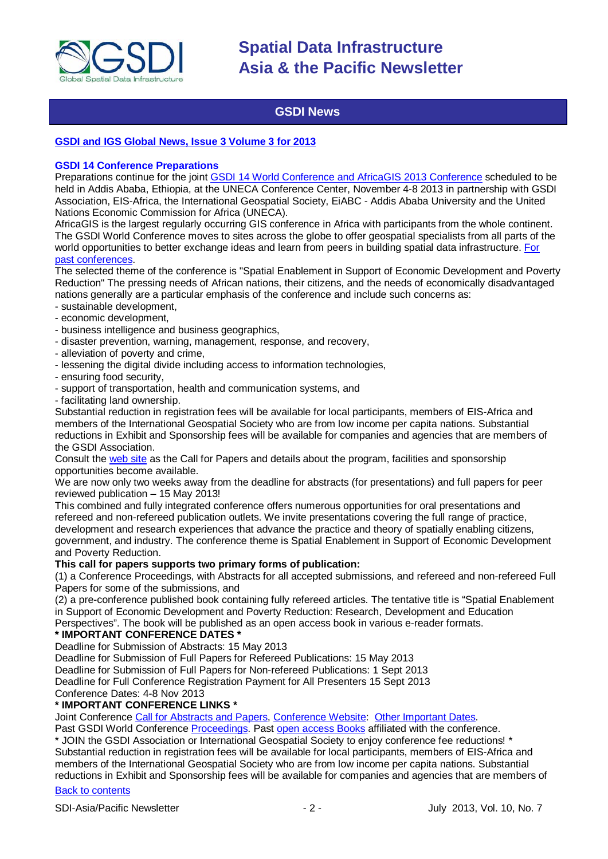

### **GSDI News**

#### <span id="page-1-0"></span>**[GSDI and IGS Global News, Issue 3 Volume 3 for 2013](http://www.gsdi.org/newsletters#GSDI)**

#### **GSDI 14 Conference Preparations**

Preparations continue for the joint [GSDI 14 World Conference and AfricaGIS 2013 Conference](http://www.gsdi.org/gsdi14) scheduled to be held in Addis Ababa, Ethiopia, at the UNECA Conference Center, November 4-8 2013 in partnership with GSDI Association, EIS-Africa, the International Geospatial Society, EiABC - Addis Ababa University and the United Nations Economic Commission for Africa (UNECA).

AfricaGIS is the largest regularly occurring GIS conference in Africa with participants from the whole continent. The GSDI World Conference moves to sites across the globe to offer geospatial specialists from all parts of the world opportunities to better exchange ideas and learn from peers in building spatial data infrastructure. [For](http://www.gsdi.org/gsdiConferences)  [past conferences.](http://www.gsdi.org/gsdiConferences)

The selected theme of the conference is "Spatial Enablement in Support of Economic Development and Poverty Reduction" The pressing needs of African nations, their citizens, and the needs of economically disadvantaged nations generally are a particular emphasis of the conference and include such concerns as:

- sustainable development,
- economic development,
- business intelligence and business geographics,
- disaster prevention, warning, management, response, and recovery,
- alleviation of poverty and crime,
- lessening the digital divide including access to information technologies,
- ensuring food security,
- support of transportation, health and communication systems, and
- facilitating land ownership.

Substantial reduction in registration fees will be available for local participants, members of EIS-Africa and members of the International Geospatial Society who are from low income per capita nations. Substantial reductions in Exhibit and Sponsorship fees will be available for companies and agencies that are members of the GSDI Association.

Consult the [web site](http://gsdi.org/gsdi14) as the Call for Papers and details about the program, facilities and sponsorship opportunities become available.

We are now only two weeks away from the deadline for abstracts (for presentations) and full papers for peer reviewed publication – 15 May 2013!

This combined and fully integrated conference offers numerous opportunities for oral presentations and refereed and non-refereed publication outlets. We invite presentations covering the full range of practice, development and research experiences that advance the practice and theory of spatially enabling citizens, government, and industry. The conference theme is Spatial Enablement in Support of Economic Development and Poverty Reduction.

#### **This call for papers supports two primary forms of publication:**

(1) a Conference Proceedings, with Abstracts for all accepted submissions, and refereed and non-refereed Full Papers for some of the submissions, and

(2) a pre-conference published book containing fully refereed articles. The tentative title is "Spatial Enablement in Support of Economic Development and Poverty Reduction: Research, Development and Education Perspectives". The book will be published as an open access book in various e-reader formats.

#### **\* IMPORTANT CONFERENCE DATES \***

Deadline for Submission of Abstracts: 15 May 2013

Deadline for Submission of Full Papers for Refereed Publications: 15 May 2013

Deadline for Submission of Full Papers for Non-refereed Publications: 1 Sept 2013

Deadline for Full Conference Registration Payment for All Presenters 15 Sept 2013

Conference Dates: 4-8 Nov 2013

#### **\* IMPORTANT CONFERENCE LINKS \***

Joint Conference [Call for Abstracts and Papers,](http://www.gsdi.org/gsdiconf/gsdi14/papercall.html) [Conference Website:](http://www.gsdi.org/gsdi14) [Other Important Dates.](http://www.gsdi.org/gsdiconf/gsdi14/dates.html)

Past GSDI World Conference [Proceedings.](http://www.gsdi.org/gsdiConferences) Past [open access Books](http://www.gsdi.org/openaccessbooks) affiliated with the conference.

\* JOIN the GSDI Association or International Geospatial Society to enjoy conference fee reductions! \* Substantial reduction in registration fees will be available for local participants, members of EIS-Africa and members of the International Geospatial Society who are from low income per capita nations. Substantial reductions in Exhibit and Sponsorship fees will be available for companies and agencies that are members of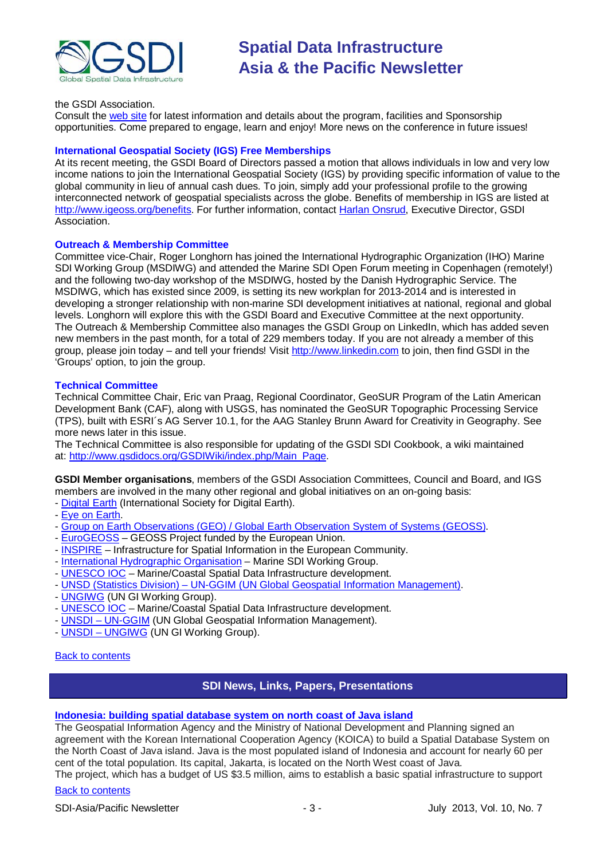

#### the GSDI Association.

Consult the [web site](http://gsdi.org/gsdi14/) for latest information and details about the program, facilities and Sponsorship opportunities. Come prepared to engage, learn and enjoy! More news on the conference in future issues!

#### **International Geospatial Society (IGS) Free Memberships**

At its recent meeting, the GSDI Board of Directors passed a motion that allows individuals in low and very low income nations to join the International Geospatial Society (IGS) by providing specific information of value to the global community in lieu of annual cash dues. To join, simply add your professional profile to the growing interconnected network of geospatial specialists across the globe. Benefits of membership in IGS are listed at [http://www.igeoss.org/benefits.](https://owa.unimelb.edu.au/owa/redir.aspx?C=54c2b4d3973d480282dc7c38384f4204&URL=http%3a%2f%2fwww.igeoss.org%2fbenefits) For further information, contact [Harlan Onsrud,](mailto:onsrud@gsdi.org) Executive Director, GSDI Association.

#### **Outreach & Membership Committee**

Committee vice-Chair, Roger Longhorn has joined the International Hydrographic Organization (IHO) Marine SDI Working Group (MSDIWG) and attended the Marine SDI Open Forum meeting in Copenhagen (remotely!) and the following two-day workshop of the MSDIWG, hosted by the Danish Hydrographic Service. The MSDIWG, which has existed since 2009, is setting its new workplan for 2013-2014 and is interested in developing a stronger relationship with non-marine SDI development initiatives at national, regional and global levels. Longhorn will explore this with the GSDI Board and Executive Committee at the next opportunity. The Outreach & Membership Committee also manages the GSDI Group on LinkedIn, which has added seven new members in the past month, for a total of 229 members today. If you are not already a member of this group, please join today – and tell your friends! Visit [http://www.linkedin.com](https://owa.unimelb.edu.au/owa/redir.aspx?C=rDg2dzQe3UKfwin28aspI4dcf2EJ4c8IKc_jDEPg91nlCdVQBzUX28or6ioXGu07OXWheK19Jyk.&URL=http%3a%2f%2fwww.linkedin.com) to join, then find GSDI in the 'Groups' option, to join the group.

#### **Technical Committee**

Technical Committee Chair, Eric van Praag, Regional Coordinator, GeoSUR Program of the Latin American Development Bank (CAF), along with USGS, has nominated the GeoSUR Topographic Processing Service (TPS), built with ESRI´s AG Server 10.1, for the AAG Stanley Brunn Award for Creativity in Geography. See more news later in this issue.

The Technical Committee is also responsible for updating of the GSDI SDI Cookbook, a wiki maintained at: [http://www.gsdidocs.org/GSDIWiki/index.php/Main\\_Page.](https://owa.unimelb.edu.au/owa/redir.aspx?C=rDg2dzQe3UKfwin28aspI4dcf2EJ4c8IKc_jDEPg91nlCdVQBzUX28or6ioXGu07OXWheK19Jyk.&URL=http%3a%2f%2fwww.gsdidocs.org%2fGSDIWiki%2findex.php%2fMain_Page)

**GSDI Member organisations**, members of the GSDI Association Committees, Council and Board, and IGS members are involved in the many other regional and global initiatives on an on-going basis:

- [Digital Earth](http://www.digitalearth-isde.org/) (International Society for Digital Earth).
- [Eye on Earth.](http://www.eyeonearth.org/)
- [Group on Earth Observations \(GEO\) / Global Earth Observation System of Systems \(GEOSS\).](http://www.earthobservations.org/)
- [EuroGEOSS](http://www.eurogeoss.eu/default.aspx) GEOSS Project funded by the European Union.
- [INSPIRE](http://www.inspire.jrc.ec.europa.eu/) Infrastructure for Spatial Information in the European Community.
- [International Hydrographic Organisation](http://www.iho.int/) Marine SDI Working Group.
- [UNESCO IOC](http://www.iode.org/) Marine/Coastal Spatial Data Infrastructure development.
- UNSD (Statistics Division) UN-GGIM (UN Global [Geospatial Information Management\).](http://www.ggim.un.org/)
- [UNGIWG](http://www.ungiwg.org/) (UN GI Working Group).
- [UNESCO IOC](http://www.iode.org/) Marine/Coastal Spatial Data Infrastructure development.
- UNSDI [UN-GGIM](http://www.ggim.un.org/) (UN Global Geospatial Information Management).
- UNSDI [UNGIWG](http://www.ungiwg.org/) (UN GI Working Group).

#### <span id="page-2-0"></span>[Back to contents](#page-0-0)

#### **SDI News, Links, Papers, Presentations**

#### **[Indonesia: building spatial database system on north coast of Java island](http://www.futuregov.asia/articles/2013/may/21/indonesia-build-spatial-database-system/)**

The Geospatial Information Agency and the Ministry of National Development and Planning signed an agreement with the Korean International Cooperation Agency (KOICA) to build a Spatial Database System on the North Coast of Java island. Java is the most populated island of Indonesia and account for nearly 60 per cent of the total population. Its capital, Jakarta, is located on the North West coast of Java.

The project, which has a budget of US \$3.5 million, aims to establish a basic spatial infrastructure to support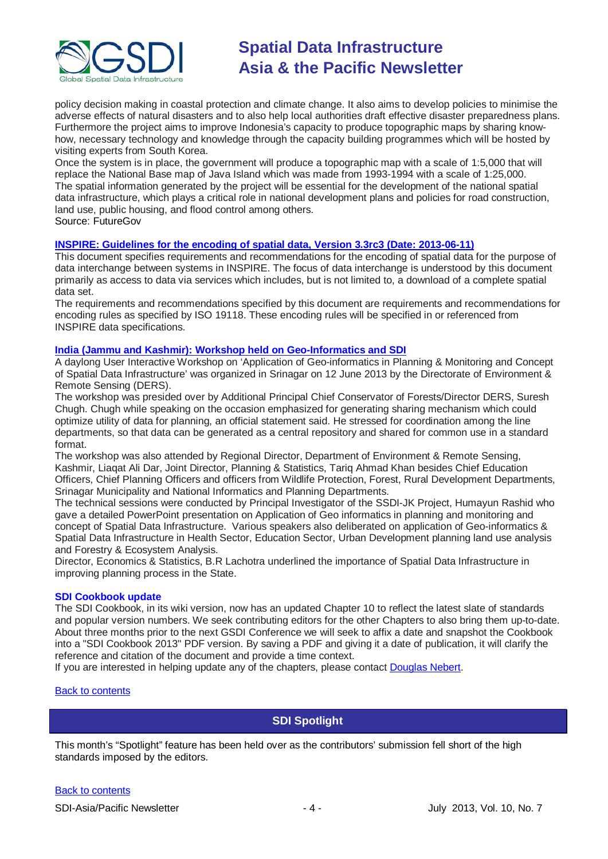

policy decision making in coastal protection and climate change. It also aims to develop policies to minimise the adverse effects of natural disasters and to also help local authorities draft effective disaster preparedness plans. Furthermore the project aims to improve Indonesia's capacity to produce topographic maps by sharing knowhow, necessary technology and knowledge through the capacity building programmes which will be hosted by visiting experts from South Korea.

Once the system is in place, the government will produce a topographic map with a scale of 1:5,000 that will replace the National Base map of Java Island which was made from 1993-1994 with a scale of 1:25,000. The spatial information generated by the project will be essential for the development of the national spatial data infrastructure, which plays a critical role in national development plans and policies for road construction, land use, public housing, and flood control among others. Source: FutureGov

#### **[INSPIRE: Guidelines for the encoding of spatial data, Version 3.3rc3 \(Date: 2013-06-11\)](http://inspire.jrc.ec.europa.eu/documents/Data_Specifications/D2.7_v3.3rc3.pdf)**

This document specifies requirements and recommendations for the encoding of spatial data for the purpose of data interchange between systems in INSPIRE. The focus of data interchange is understood by this document primarily as access to data via services which includes, but is not limited to, a download of a complete spatial data set.

The requirements and recommendations specified by this document are requirements and recommendations for encoding rules as specified by ISO 19118. These encoding rules will be specified in or referenced from INSPIRE data specifications.

#### **[India \(Jammu and Kashmir\): Workshop held on Geo-Informatics and SDI](http://www.greaterkashmir.com/news/2013/Jun/13/workshop-on-geo-informatics-held-44.asp)**

A daylong User Interactive Workshop on 'Application of Geo-informatics in Planning & Monitoring and Concept of Spatial Data Infrastructure' was organized in Srinagar on 12 June 2013 by the Directorate of Environment & Remote Sensing (DERS).

The workshop was presided over by Additional Principal Chief Conservator of Forests/Director DERS, Suresh Chugh. Chugh while speaking on the occasion emphasized for generating sharing mechanism which could optimize utility of data for planning, an official statement said. He stressed for coordination among the line departments, so that data can be generated as a central repository and shared for common use in a standard format.

The workshop was also attended by Regional Director, Department of Environment & Remote Sensing, Kashmir, Liaqat Ali Dar, Joint Director, Planning & Statistics, Tariq Ahmad Khan besides Chief Education Officers, Chief Planning Officers and officers from Wildlife Protection, Forest, Rural Development Departments, Srinagar Municipality and National Informatics and Planning Departments.

The technical sessions were conducted by Principal Investigator of the SSDI-JK Project, Humayun Rashid who gave a detailed PowerPoint presentation on Application of Geo informatics in planning and monitoring and concept of Spatial Data Infrastructure. Various speakers also deliberated on application of Geo-informatics & Spatial Data Infrastructure in Health Sector, Education Sector, Urban Development planning land use analysis and Forestry & Ecosystem Analysis.

Director, Economics & Statistics, B.R Lachotra underlined the importance of Spatial Data Infrastructure in improving planning process in the State.

#### **SDI Cookbook update**

The SDI Cookbook, in its wiki version, now has an updated Chapter 10 to reflect the latest slate of standards and popular version numbers. We seek contributing editors for the other Chapters to also bring them up-to-date. About three months prior to the next GSDI Conference we will seek to affix a date and snapshot the Cookbook into a "SDI Cookbook 2013" PDF version. By saving a PDF and giving it a date of publication, it will clarify the reference and citation of the document and provide a time context.

If you are interested in helping update any of the chapters, please contact [Douglas Nebert.](mailto:ddnebert@usgs.gov)

#### <span id="page-3-0"></span>[Back to contents](#page-0-0)

### **SDI Spotlight**

This month's "Spotlight" feature has been held over as the contributors' submission fell short of the high standards imposed by the editors.

#### [Back to contents](#page-0-0)

SDI-Asia/Pacific Newsletter 1992 12:30 Australian Control of Australian Australian Control of Australian Australian Australian Australian Australian Australian Australian Australian Australian Australian Australian Austral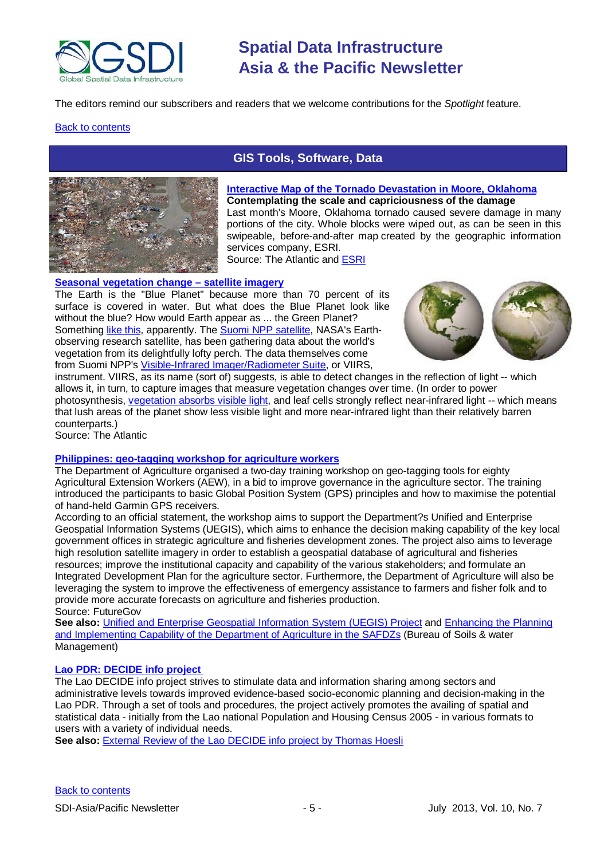

The editors remind our subscribers and readers that we welcome contributions for the *Spotlight* feature.

#### <span id="page-4-0"></span>**[Back to contents](#page-0-0)**



### **GIS Tools, Software, Data**

#### **[Interactive Map of the Tornado Devastation in Moore, Oklahoma](http://www.theatlantic.com/technology/archive/2013/06/an-interactive-map-of-the-tornado-devastation-in-moore-oklahoma/276575/) Contemplating the scale and capriciousness of the damage** Last month's Moore, Oklahoma tornado caused severe damage in many portions of the city. Whole blocks were wiped out, as can be seen in this [swipeable, before-and-after map](http://tmappsevents.esri.com/website/swipe_moore/) created by the geographic information services company, ESRI.

Source: The Atlantic an[d ESRI](http://tmappsevents.esri.com/website/swipe_moore/)

#### **[Seasonal vegetation change –](http://www.theatlanticcities.com/technology/2013/06/going-really-really-green-earths-plant-life-seen-space/6044/) satellite imagery**

The Earth is the "Blue Planet" because more than 70 percent of its surface is covered in water. But what does the Blue Planet look like without the blue? How would Earth appear as ... the Green Planet? Something [like this,](http://www.newscientist.com/article/dn23738-earths-plant-life-glows-green-in-hires-space-map.html#.Ucm_AD6DQXz) apparently. The [Suomi NPP satellite,](http://npp.gsfc.nasa.gov/) NASA's Earthobserving research satellite, has been gathering data about the world's vegetation from its delightfully lofty perch. The data themselves come from Suomi NPP's [Visible-Infrared Imager/Radiometer Suite,](http://npp.gsfc.nasa.gov/viirs.html) or VIIRS,



instrument. VIIRS, as its name (sort of) suggests, is able to detect changes in the reflection of light -- which allows it, in turn, to capture images that measure vegetation changes over time. (In order to power photosynthesis, [vegetation absorbs visible light,](http://www.newscientist.com/article/dn23738-earths-plant-life-glows-green-in-hires-space-map.html) and leaf cells strongly reflect near-infrared light -- which means that lush areas of the planet show less visible light and more near-infrared light than their relatively barren counterparts.)

Source: The Atlantic

#### **[Philippines: geo-tagging workshop for agriculture workers](http://www.futuregov.asia/articles/2013/may/29/philippines-holds-geo-tagging-workshop-agriculture/)**

The Department of Agriculture organised a two-day training workshop on geo-tagging tools for eighty Agricultural Extension Workers (AEW), in a bid to improve governance in the agriculture sector. The training introduced the participants to basic Global Position System (GPS) principles and how to maximise the potential of hand-held Garmin GPS receivers.

According to an official statement, the workshop aims to support the Department?s Unified and Enterprise Geospatial Information Systems (UEGIS), which aims to enhance the decision making capability of the key local government offices in strategic agriculture and fisheries development zones. The project also aims to leverage high resolution satellite imagery in order to establish a geospatial database of agricultural and fisheries resources; improve the institutional capacity and capability of the various stakeholders; and formulate an Integrated Development Plan for the agriculture sector. Furthermore, the Department of Agriculture will also be leveraging the system to improve the effectiveness of emergency assistance to farmers and fisher folk and to provide more accurate forecasts on agriculture and fisheries production. Source: FutureGov

**See also:** [Unified and Enterprise Geospatial Information System \(UEGIS\) Project](http://www.bfar.da.gov.ph/images/BFAR%20MAps/UEGIS%20Maps/pdf/IEC_Material_UEGISv2.pdf) and [Enhancing the Planning](http://www.bswm.da.gov.ph/NewsDetail.aspx?newsID=23)  [and Implementing Capability of the Department of Agriculture in the SAFDZs](http://www.bswm.da.gov.ph/NewsDetail.aspx?newsID=23) (Bureau of Soils & water Management)

#### **[Lao PDR: DECIDE info project](http://www.decide.la/)**

The Lao DECIDE info project strives to stimulate data and information sharing among sectors and administrative levels towards improved evidence-based socio-economic planning and decision-making in the Lao PDR. Through a set of tools and procedures, the project actively promotes the availing of spatial and statistical data - initially from the Lao national Population and Housing Census 2005 - in various formats to users with a variety of individual needs.

See also: [External Review of the Lao DECIDE info project by Thomas Hoesli](http://www.sdcmekong.org/2013/05/external-review-of-the-lao-decide-info-project-by-thomas-hoesli/)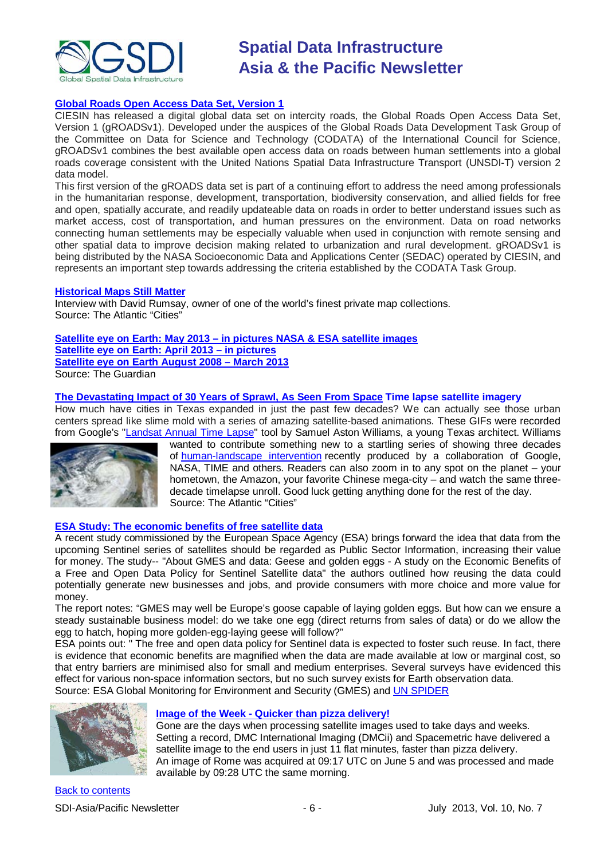

#### **[Global Roads Open Access Data Set, Version 1](http://sedac.ciesin.columbia.edu/data/set/groads-global-roads-open-access-v1)**

CIESIN has released a digital global data set on intercity roads, the Global Roads Open Access Data Set, Version 1 (gROADSv1). Developed under the auspices of the Global Roads Data Development Task Group of the Committee on Data for Science and Technology (CODATA) of the International Council for Science, gROADSv1 combines the best available open access data on roads between human settlements into a global roads coverage consistent with the United Nations Spatial Data Infrastructure Transport (UNSDI-T) version 2 data model.

This first version of the gROADS data set is part of a continuing effort to address the need among professionals in the humanitarian response, development, transportation, biodiversity conservation, and allied fields for free and open, spatially accurate, and readily updateable data on roads in order to better understand issues such as market access, cost of transportation, and human pressures on the environment. Data on road networks connecting human settlements may be especially valuable when used in conjunction with remote sensing and other spatial data to improve decision making related to urbanization and rural development. gROADSv1 is being distributed by the NASA Socioeconomic Data and Applications Center (SEDAC) operated by CIESIN, and represents an important step towards addressing the criteria established by the CODATA Task Group.

#### **[Historical Maps Still Matter](http://www.theatlanticcities.com/technology/2013/05/why-historical-maps-still-matter-so-much-today/5537/)**

Interview with David Rumsay, owner of one of the world's finest private map collections. Source: The Atlantic "Cities"

#### **Satellite eye on Earth: May 2013 – [in pictures NASA & ESA satellite images](http://www.guardian.co.uk/environment/gallery/2013/jun/11/satellite-eye-in-pictures?CMP=ema_632#/?picture=410511041&index=19) [Satellite eye on Earth: April 2013 –](http://www.guardian.co.uk/environment/gallery/2013/may/09/satellite-eye-on-earth-in-pictures#/?picture=408440866&index=7) in pictures**

**[Satellite eye on Earth August 2008 –](http://www.guardian.co.uk/environment/series/satelliteeye) March 2013**

Source: The Guardian

**[The Devastating Impact of 30 Years of Sprawl, As Seen From Space](http://www.theatlanticcities.com/neighborhoods/2013/06/devastating-impact-30-years-sprawl-seen-space/5955/) Time lapse satellite imagery**

How much have cities in Texas expanded in just the past few decades? We can actually see those urban centers spread like slime mold with a series of amazing satellite-based animations. These GIFs were recorded from Google's ["Landsat Annual Time Lapse"](http://earthengine.google.org/#intro/LasVegas) tool by Samuel Aston Williams, a young Texas architect. Williams



wanted to contribute something new to a startling series of showing three decades of [human-landscape intervention](http://www.theatlanticcities.com/technology/2013/05/terrifying-fascinating-timelapse-30-years-human-impact-earth-gifs/5540/) recently produced by a collaboration of Google, NASA, TIME and others. Readers can also zoom in to any spot on the planet – your hometown, the Amazon, your favorite Chinese mega-city – and watch the same threedecade timelapse unroll. Good luck getting anything done for the rest of the day. Source: The Atlantic "Cities"

#### **[ESA Study: The economic benefits of free satellite data](http://www.esa.int/Our_Activities/Observing_the_Earth/GMES/GMES_and_data_like_geese_and_golden_eggs)**

A recent study commissioned by the European Space Agency (ESA) brings forward the idea that data from the upcoming Sentinel series of satellites should be regarded as Public Sector Information, increasing their value for money. The study-- "About GMES and data: Geese and golden eggs - A study on the Economic Benefits of a Free and Open Data Policy for Sentinel Satellite data" the authors outlined how reusing the data could potentially generate new businesses and jobs, and provide consumers with more choice and more value for money.

The report notes: "GMES may well be Europe's goose capable of laying golden eggs. But how can we ensure a steady sustainable business model: do we take one egg (direct returns from sales of data) or do we allow the egg to hatch, hoping more golden-egg-laying geese will follow?"

ESA points out: " The free and open data policy for Sentinel data is expected to foster such reuse. In fact, there is evidence that economic benefits are magnified when the data are made available at low or marginal cost, so that entry barriers are minimised also for small and medium enterprises. Several surveys have evidenced this effect for various non-space information sectors, but no such survey exists for Earth observation data. Source: ESA Global Monitoring for Environment and Security (GMES) and [UN SPIDER](http://www.un-spider.org/about-us/news/en/6654/2013-05-14t141300/esa-study-economic-benefits-free-satellite-data)



#### **Image of the Week - [Quicker than pizza delivery!](http://www.geospatialworld.net/ImageoftheWeek/view.aspx?id=137&utm_medium=email&utm_source=Act-On+Software&utm_content=email&utm_campaign=Geospatial%20World%20Weekly%20June%2010%2C%20%27013&utm_term=Quicker%20than%20pizza%20delivery%21)**

Gone are the days when processing satellite images used to take days and weeks. Setting a record, DMC International Imaging (DMCii) and Spacemetric have delivered a satellite image to the end users in just 11 flat minutes, faster than pizza delivery. An image of Rome was acquired at 09:17 UTC on June 5 and was processed and made available by 09:28 UTC the same morning.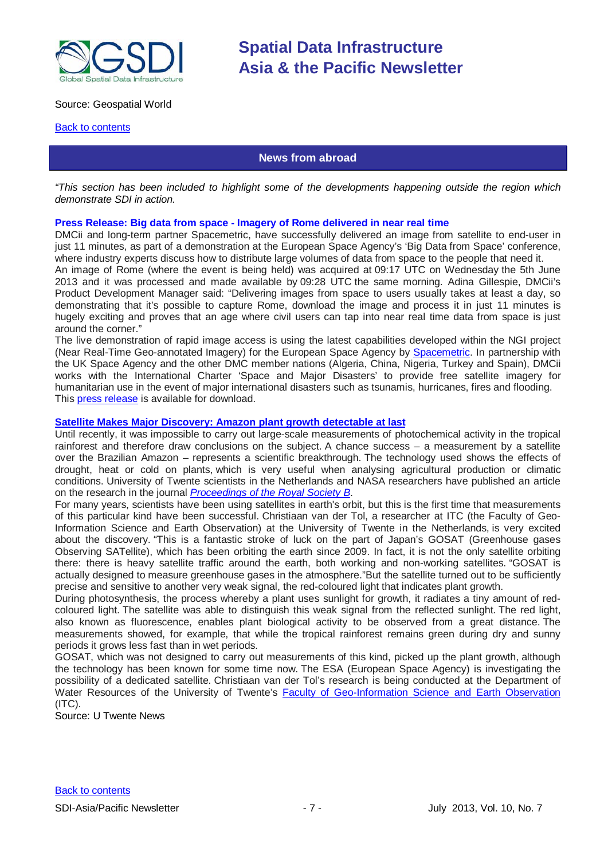

#### Source: Geospatial World

#### <span id="page-6-0"></span>**[Back to contents](#page-0-0)**

#### **News from abroad**

*"This section has been included to highlight some of the developments happening outside the region which demonstrate SDI in action.*

#### **Press Release: Big data from space - Imagery of Rome delivered in near real time**

DMCii and long-term partner Spacemetric, have successfully delivered an image from satellite to end-user in just 11 minutes, as part of a demonstration at the European Space Agency's 'Big Data from Space' conference, where industry experts discuss how to distribute large volumes of data from space to the people that need it. An image of Rome (where the event is being held) was acquired at 09:17 UTC on Wednesday the 5th June

2013 and it was processed and made available by 09:28 UTC the same morning. Adina Gillespie, DMCii's Product Development Manager said: "Delivering images from space to users usually takes at least a day, so demonstrating that it's possible to capture Rome, download the image and process it in just 11 minutes is hugely exciting and proves that an age where civil users can tap into near real time data from space is just around the corner."

The live demonstration of rapid image access is using the latest capabilities developed within the NGI project (Near Real-Time Geo-annotated Imagery) for the European Space Agency by [Spacemetric.](http://www.spacemetric.com/node/142) In partnership with the UK Space Agency and the other DMC member nations (Algeria, China, Nigeria, Turkey and Spain), DMCii works with the International Charter 'Space and Major Disasters' to provide free satellite imagery for humanitarian use in the event of major international disasters such as tsunamis, hurricanes, fires and flooding. This press [release](http://tinyurl.com/dmciipr) is available for download.

#### **[Satellite Makes Major Discovery: Amazon plant growth detectable at last](http://www.utwente.nl/en/archive/2013/06/amazon-plant-growth-detectable-at-last.doc/)**

Until recently, it was impossible to carry out large-scale measurements of photochemical activity in the tropical rainforest and therefore draw conclusions on the subject. A chance success – a measurement by a satellite over the Brazilian Amazon – represents a scientific breakthrough. The technology used shows the effects of drought, heat or cold on plants, which is very useful when analysing agricultural production or climatic conditions. University of Twente scientists in the Netherlands and NASA researchers have published an article on the research in the journal *[Proceedings of the Royal Society B](http://rspb.royalsocietypublishing.org/content/280/1761/20130171.abstract)*.

For many years, scientists have been using satellites in earth's orbit, but this is the first time that measurements of this particular kind have been successful. Christiaan van der Tol, a researcher at ITC (the Faculty of Geo-Information Science and Earth Observation) at the University of Twente in the Netherlands, is very excited about the discovery. "This is a fantastic stroke of luck on the part of Japan's GOSAT (Greenhouse gases Observing SATellite), which has been orbiting the earth since 2009. In fact, it is not the only satellite orbiting there: there is heavy satellite traffic around the earth, both working and non-working satellites. "GOSAT is actually designed to measure greenhouse gases in the atmosphere."But the satellite turned out to be sufficiently precise and sensitive to another very weak signal, the red-coloured light that indicates plant growth.

During photosynthesis, the process whereby a plant uses sunlight for growth, it radiates a tiny amount of redcoloured light. The satellite was able to distinguish this weak signal from the reflected sunlight. The red light, also known as fluorescence, enables plant biological activity to be observed from a great distance. The measurements showed, for example, that while the tropical rainforest remains green during dry and sunny periods it grows less fast than in wet periods.

GOSAT, which was not designed to carry out measurements of this kind, picked up the plant growth, although the technology has been known for some time now. The ESA (European Space Agency) is investigating the possibility of a dedicated satellite. Christiaan van der Tol's research is being conducted at the Department of Water Resources of the University of Twente's [Faculty of Geo-Information Science and Earth Observation](http://www.utwente.nl/en/)  $(ITC)$ .

Source: U Twente News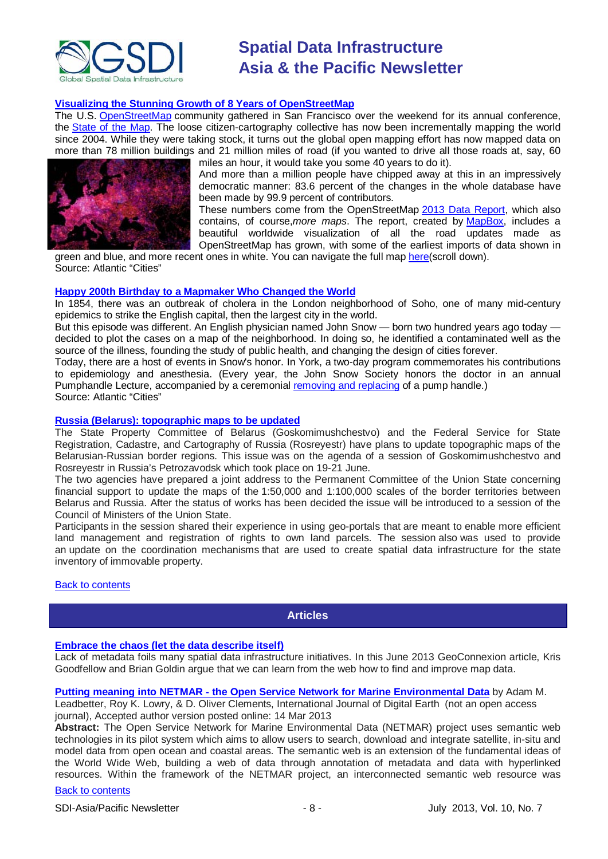

#### **[Visualizing the Stunning Growth of 8 Years of OpenStreetMap](http://www.theatlanticcities.com/technology/2013/06/visualizing-stunning-growth-8-years-openstreetmap/5849/)**

The U.S. [OpenStreetMap](http://www.openstreetmap.org/) community gathered in San Francisco over the weekend for its annual conference, the [State of the Map.](http://stateofthemap.us/) The loose citizen-cartography collective has now been incrementally mapping the world since 2004. While they were taking stock, it turns out the global open mapping effort has now mapped data on more than 78 million buildings and 21 million miles of road (if you wanted to drive all those roads at, say, 60



miles an hour, it would take you some 40 years to do it). And more than a million people have chipped away at this in an impressively democratic manner: 83.6 percent of the changes in the whole database have been made by 99.9 percent of contributors.

These numbers come from the OpenStreetMap [2013 Data Report,](http://www.mapbox.com/osm-data-report/) which also contains, of course,*more maps*. The report, created by [MapBox,](http://www.mapbox.com/) includes a beautiful worldwide visualization of all the road updates made as OpenStreetMap has grown, with some of the earliest imports of data shown in

green and blue, and more recent ones in white. You can navigate the full map [here\(](http://www.mapbox.com/osm-data-report/)scroll down). Source: Atlantic "Cities"

#### **[Happy 200th Birthday to a Mapmaker Who Changed the World](http://www.theatlanticcities.com/neighborhoods/2013/03/happy-200th-birthday-mapmaker-who-changed-world/4997/)**

In 1854, there was an outbreak of cholera in the London neighborhood of Soho, one of many mid-century epidemics to strike the English capital, then the largest city in the world.

But this episode was different. An English physician named John Snow — born two hundred years ago today decided to plot the cases on a map of the neighborhood. In doing so, he identified a contaminated well as the source of the illness, founding the study of public health, and changing the design of cities forever.

Today, there are a host of events in Snow's honor. In York, a two-day program commemorates his contributions to epidemiology and anesthesia. (Every year, the John Snow Society honors the doctor in an annual Pumphandle Lecture, accompanied by a ceremonial [removing and replacing](http://www.johnsnowsociety.org/lectures/index.html) of a pump handle.) Source: Atlantic "Cities"

#### **[Russia \(Belarus\): topographic maps to be updated](http://law.by/main.aspx?guid=119513)**

The State Property Committee of Belarus (Goskomimushchestvo) and the Federal Service for State Registration, Cadastre, and Cartography of Russia (Rosreyestr) have plans to update topographic maps of the Belarusian-Russian border regions. This issue was on the agenda of a session of Goskomimushchestvo and Rosreyestr in Russia's Petrozavodsk which took place on 19-21 June.

The two agencies have prepared a joint address to the Permanent Committee of the Union State concerning financial support to update the maps of the 1:50,000 and 1:100,000 scales of the border territories between Belarus and Russia. After the status of works has been decided the issue will be introduced to a session of the Council of Ministers of the Union State.

Participants in the session shared their experience in using geo-portals that are meant to enable more efficient land management and registration of rights to own land parcels. The session also was used to provide an update on the coordination mechanisms that are used to create spatial data infrastructure for the state inventory of immovable property.

#### <span id="page-7-0"></span>**[Back to contents](#page-0-0)**

#### **Articles**

#### **[Embrace the chaos \(let the data describe itself\)](http://www.geoconnexion.com/uploads/publication_pdfs/EmbraceChaos_intv12i6.pdf)**

Lack of metadata foils many spatial data infrastructure initiatives. In this June 2013 GeoConnexion article, Kris Goodfellow and Brian Goldin argue that we can learn from the web how to find and improve map data.

**Putting meaning into NETMAR - [the Open Service Network for Marine Environmental Data](http://www.tandfonline.com/doi/full/10.1080/17538947.2013.781243)** by Adam M.

Leadbetter, Roy K. Lowry, & D. Oliver Clements, International Journal of Digital Earth (not an open access journal), Accepted author version posted online: 14 Mar 2013

**Abstract:** The Open Service Network for Marine Environmental Data (NETMAR) project uses semantic web technologies in its pilot system which aims to allow users to search, download and integrate satellite, in-situ and model data from open ocean and coastal areas. The semantic web is an extension of the fundamental ideas of the World Wide Web, building a web of data through annotation of metadata and data with hyperlinked resources. Within the framework of the NETMAR project, an interconnected semantic web resource was

#### [Back to contents](#page-0-0)

SDI-Asia/Pacific Newsletter  $\overline{\phantom{a}}$  - 8 -  $\overline{\phantom{a}}$  July 2013, Vol. 10, No. 7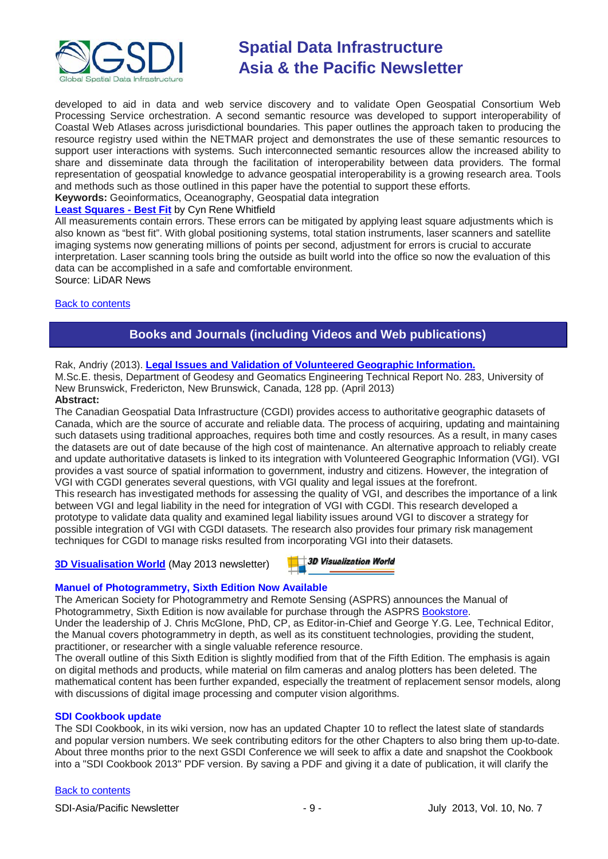

developed to aid in data and web service discovery and to validate Open Geospatial Consortium Web Processing Service orchestration. A second semantic resource was developed to support interoperability of Coastal Web Atlases across jurisdictional boundaries. This paper outlines the approach taken to producing the resource registry used within the NETMAR project and demonstrates the use of these semantic resources to support user interactions with systems. Such interconnected semantic resources allow the increased ability to share and disseminate data through the facilitation of interoperability between data providers. The formal representation of geospatial knowledge to advance geospatial interoperability is a growing research area. Tools and methods such as those outlined in this paper have the potential to support these efforts.

**Keywords:** Geoinformatics, Oceanography, Geospatial data integration

### **[Least Squares](http://www.lidarnews.com/content/view/9751/136/) - Best Fit** by Cyn Rene Whitfield

All measurements contain errors. These errors can be mitigated by applying least square adjustments which is also known as "best fit". With global positioning systems, total station instruments, laser scanners and satellite imaging systems now generating millions of points per second, adjustment for errors is crucial to accurate interpretation. Laser scanning tools bring the outside as built world into the office so now the evaluation of this data can be accomplished in a safe and comfortable environment.

Source: LiDAR News

#### <span id="page-8-0"></span>[Back to contents](#page-0-0)

### **Books and Journals (including Videos and Web publications)**

#### Rak, Andriy (2013). **[Legal Issues and Validation of Volunteered Geographic Information.](http://gge.unb.ca/Pubs/TR283.pdf)**

M.Sc.E. thesis, Department of Geodesy and Geomatics Engineering Technical Report No. 283, University of New Brunswick, Fredericton, New Brunswick, Canada, 128 pp. (April 2013)

#### **Abstract:**

The Canadian Geospatial Data Infrastructure (CGDI) provides access to authoritative geographic datasets of Canada, which are the source of accurate and reliable data. The process of acquiring, updating and maintaining such datasets using traditional approaches, requires both time and costly resources. As a result, in many cases the datasets are out of date because of the high cost of maintenance. An alternative approach to reliably create and update authoritative datasets is linked to its integration with Volunteered Geographic Information (VGI). VGI provides a vast source of spatial information to government, industry and citizens. However, the integration of VGI with CGDI generates several questions, with VGI quality and legal issues at the forefront. This research has investigated methods for assessing the quality of VGI, and describes the importance of a link between VGI and legal liability in the need for integration of VGI with CGDI. This research developed a

prototype to validate data quality and examined legal liability issues around VGI to discover a strategy for possible integration of VGI with CGDI datasets. The research also provides four primary risk management techniques for CGDI to manage risks resulted from incorporating VGI into their datasets.

#### **[3D Visualisation World](http://visitor.benchmarkemail.com/c/v?e=2E5A3F&c=27A3B&l=42E79F4&email=20i0rPjCDuEQfH2i1glrmJemkgBQcCdv&relid=509BECB)** (May 2013 newsletter)

3D Visualization World

#### **Manuel of Photogrammetry, Sixth Edition Now Available**

The American Society for Photogrammetry and Remote Sensing (ASPRS) announces the Manual of Photogrammetry, Sixth Edition is now available for purchase through the ASPRS [Bookstore.](http://www.asprs.org/Publications-Other/Bookstore.html) Under the leadership of J. Chris McGlone, PhD, CP, as Editor-in-Chief and George Y.G. Lee, Technical Editor, the Manual covers photogrammetry in depth, as well as its constituent technologies, providing the student,

practitioner, or researcher with a single valuable reference resource. The overall outline of this Sixth Edition is slightly modified from that of the Fifth Edition. The emphasis is again on digital methods and products, while material on film cameras and analog plotters has been deleted. The mathematical content has been further expanded, especially the treatment of replacement sensor models, along with discussions of digital image processing and computer vision algorithms.

#### **SDI Cookbook update**

The SDI Cookbook, in its wiki version, now has an updated Chapter 10 to reflect the latest slate of standards and popular version numbers. We seek contributing editors for the other Chapters to also bring them up-to-date. About three months prior to the next GSDI Conference we will seek to affix a date and snapshot the Cookbook into a "SDI Cookbook 2013" PDF version. By saving a PDF and giving it a date of publication, it will clarify the

#### [Back to contents](#page-0-0)

SDI-Asia/Pacific Newsletter 19 - 9 - 19 - July 2013, Vol. 10, No. 7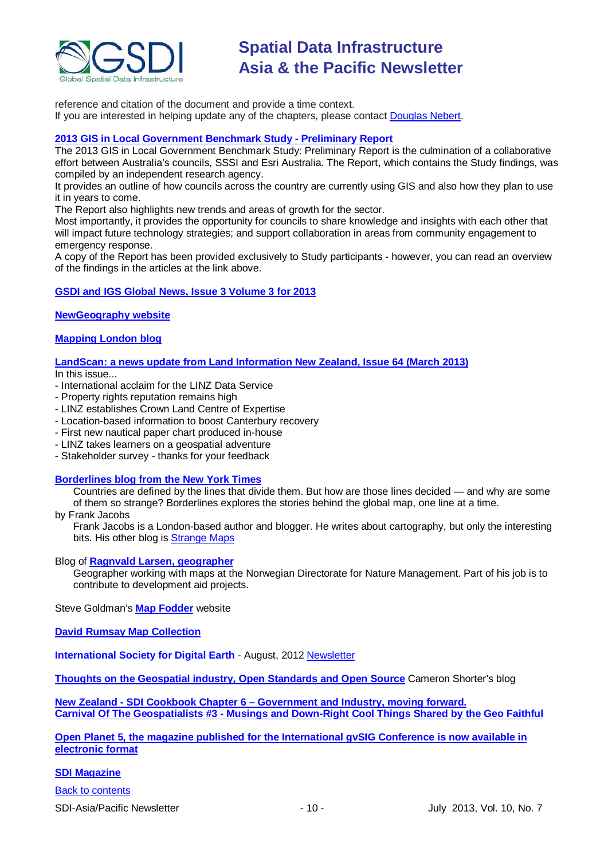

reference and citation of the document and provide a time context. If you are interested in helping update any of the chapters, please contact [Douglas Nebert.](mailto:ddnebert@usgs.gov)

#### **[2013 GIS in Local Government Benchmark Study -](http://esriaustralia.com.au/benchmark-study) Preliminary Report**

The 2013 GIS in Local Government Benchmark Study: Preliminary Report is the culmination of a collaborative effort between Australia's councils, SSSI and Esri Australia. The Report, which contains the Study findings, was compiled by an independent research agency.

It provides an outline of how councils across the country are currently using GIS and also how they plan to use it in years to come.

The Report also highlights new trends and areas of growth for the sector.

Most importantly, it provides the opportunity for councils to share knowledge and insights with each other that will impact future technology strategies; and support collaboration in areas from community engagement to emergency response.

A copy of the Report has been provided exclusively to Study participants - however, you can read an overview of the findings in the articles at the link above.

#### **[GSDI and IGS Global News, Issue 3 Volume 3 for 2013](http://www.gsdi.org/newsletters#GSDI)**

**[NewGeography website](http://www.newgeography.com/)**

#### **[Mapping London blog](http://mappinglondon.co.uk/)**

**[LandScan: a news update from Land Information New Zealand, Issue 64 \(March 2013\)](http://www.linz.govt.nz/sites/default/files/docs/supporting-info/about-linz/publications/landscan-201303.pdf)**

In this issue...

- International acclaim for the LINZ Data Service
- Property rights reputation remains high
- LINZ establishes Crown Land Centre of Expertise
- Location-based information to boost Canterbury recovery
- First new nautical paper chart produced in-house
- LINZ takes learners on a geospatial adventure
- Stakeholder survey thanks for your feedback

#### **[Borderlines blog from the New York Times](http://opinionator.blogs.nytimes.com/category/borderlines/)**

Countries are defined by the lines that divide them. But how are those lines decided — and why are some of them so strange? Borderlines explores the stories behind the global map, one line at a time.

by Frank Jacobs

Frank Jacobs is a London-based author and blogger. He writes about cartography, but only the interesting bits. His other blog is [Strange Maps](http://bigthink.com/blogs/strange-maps)

#### Blog of **[Ragnvald Larsen, geographer](http://www.mindland.com/wp/)**

Geographer working with maps at the Norwegian Directorate for Nature Management. Part of his job is to contribute to development aid projects.

Steve Goldman's **[Map Fodder](http://www.mapfodder.com/index.html)** website

**[David Rumsay Map Collection](http://www.davidrumsey.com/)**

**International Society for Digital Earth - August, 2012 [Newsletter](http://www.digitalearth-isde.org/news/isde-newsletter(201208).html)** 

**[Thoughts on the Geospatial industry, Open Standards and Open Source](http://cameronshorter.blogspot.com/2011/06/memoirs-of-cat-herder-coordinating.html)** Cameron Shorter's blog

**New Zealand - SDI Cookbook Chapter 6 – [Government and Industry, moving forward.](http://www.geospatial.govt.nz/sdi-cookbook-chapter-6-government-and-industry-moving-forward) Carnival Of The Geospatialists #3 - [Musings and Down-Right Cool Things Shared by the Geo Faithful](http://www.gisuser.com/content/view/25690/28/)**

**[Open Planet 5, the magazine published for the International gvSIG Conference is now available in](http://jornadas.gvsig.org/descargas/magazine)  [electronic format](http://jornadas.gvsig.org/descargas/magazine)**

#### **[SDI Magazine](http://www.sdimag.com/)**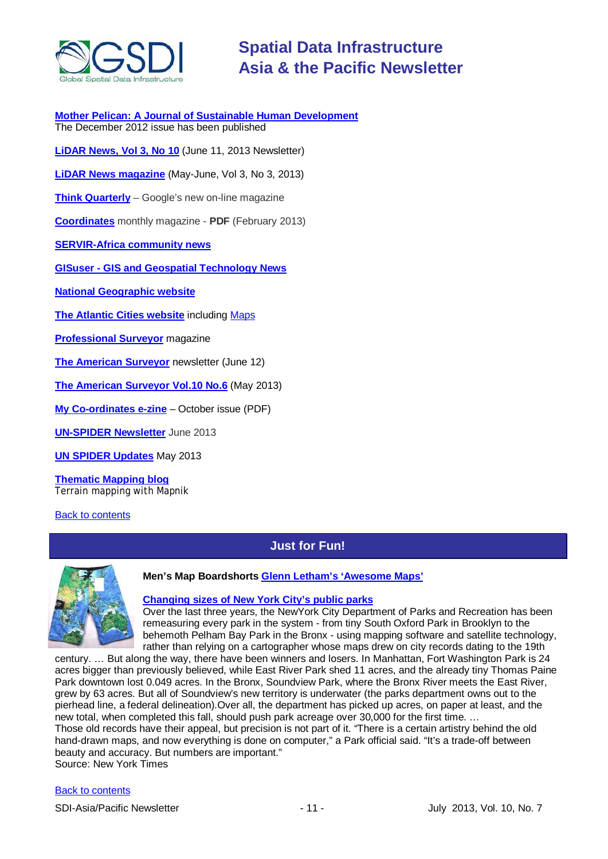

**[Mother Pelican: A Journal of Sustainable Human Development](http://www.pelicanweb.org/solisustv08n12page1.html)** The December 2012 issue has been published

**[LiDAR News, Vol 3, No 10](http://www.lidarnews.com/newsletter/Vol3No10.htm)** (June 11, 2013 Newsletter)

**[LiDAR News magazine](http://lidarnews.com/emag/2013/vol3no3/index.html)** (May-June, Vol 3, No 3, 2013)

**[Think Quarterly](http://thinkquarterly.co.uk/#aboutthebook)** – Google's new on-line magazine

**[Coordinates](http://mycoordinates.org/pdf/feb13.pdf)** monthly magazine - **PDF** (February 2013)

**[SERVIR-Africa community news](http://www.servirglobal.net/africa/en/News/CommunityNews.aspx)**

**GISuser - [GIS and Geospatial Technology News](http://www.gisuser.com/)**

**[National Geographic website](http://www.nationalgeographic.com/)**

**[The Atlantic Cities website](http://www.theatlanticcities.com/)** including [Maps](http://www.theatlanticcities.com/posts/map/)

**[Professional Surveyor](http://www.profsurv.com/)** magazine

**[The American Surveyor](http://www.amerisurv.com/newsletter/12JUN2013.htm)** newsletter (June 12)

**[The American Surveyor Vol.10 No.6](http://amerisurv.com/emag/2013/vol10no6/index.html)** (May 2013)

**[My Co-ordinates e-zine](http://mycoordinates.org/pdf/oct12.pdf)** – October issue (PDF)

**[UN-SPIDER](http://www.un-spider.org/about/newsletter/un-spider-newsletter-213-earth-observation-disaster-response) Newsletter** June 2013

**[UN SPIDER Updates](http://www.un-spider.org/about/updates/un-spider-updates-may-2013)** May 2013

**[Thematic Mapping blog](http://blog.thematicmapping.org/)** Terrain mapping with Mapnik

<span id="page-10-0"></span>[Back to contents](#page-0-0)

### **Just for Fun!**



#### **Men's Map Boardshorts Glenn Letham's ['Awesome Maps'](http://pinterest.com/gletham/awesome-maps/)**

#### **[Changing sizes of New York City's public parks](http://www.nytimes.com/2013/06/01/nyregion/surveying-effort-alters-sizes-of-some-new-york-parks.html?hp&_r=1&)**

Over the last three years, the NewYork City Department of Parks and Recreation has been remeasuring every park in the system - from tiny South Oxford Park in Brooklyn to the behemoth Pelham Bay Park in the Bronx - using mapping software and satellite technology, rather than relying on a cartographer whose maps drew on city records dating to the 19th

century. … But along the way, there have been winners and losers. In Manhattan, Fort Washington Park is 24 acres bigger than previously believed, while East River Park shed 11 acres, and the already tiny Thomas Paine Park downtown lost 0.049 acres. In the Bronx, Soundview Park, where the Bronx River meets the East River, grew by 63 acres. But all of Soundview's new territory is underwater (the parks department owns out to the pierhead line, a federal delineation).Over all, the department has picked up acres, on paper at least, and the new total, when completed this fall, should push park acreage over 30,000 for the first time. … Those old records have their appeal, but precision is not part of it. "There is a certain artistry behind the old hand-drawn maps, and now everything is done on computer," a Park official said. "It's a trade-off between beauty and accuracy. But numbers are important." Source: New York Times

[Back to contents](#page-0-0)

SDI-Asia/Pacific Newsletter 1992 11 - 11 - 11 - July 2013, Vol. 10, No. 7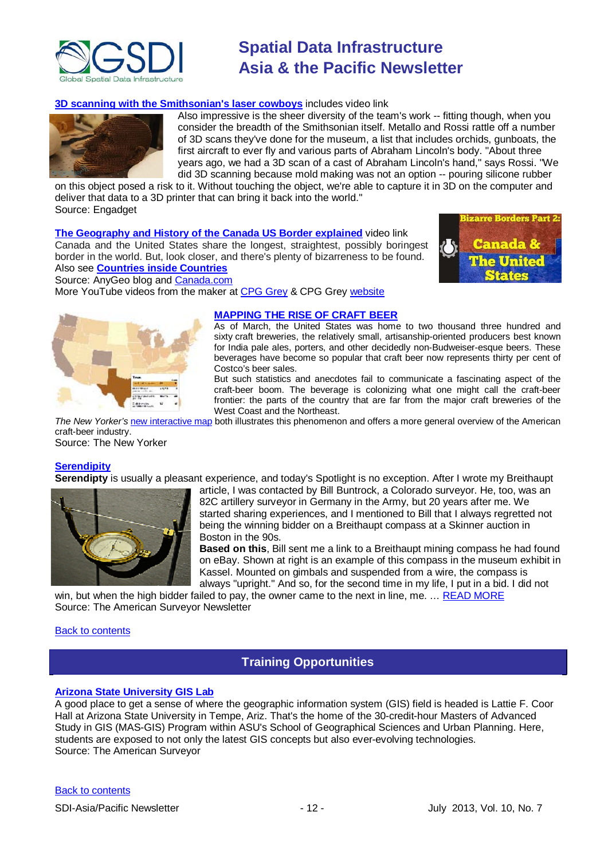

#### **[3D scanning with the Smithsonian's laser cowboys](http://www.engadget.com/2013/06/08/smithsonian/)** includes video link



Also impressive is the sheer diversity of the team's work -- fitting though, when you consider the breadth of the Smithsonian itself. Metallo and Rossi rattle off a number of 3D scans they've done for the museum, a list that includes orchids, gunboats, the first aircraft to ever fly and various parts of Abraham Lincoln's body. "About three years ago, we had a 3D scan of a cast of Abraham Lincoln's hand," says Rossi. "We did 3D scanning because mold making was not an option -- pouring silicone rubber

on this object posed a risk to it. Without touching the object, we're able to capture it in 3D on the computer and deliver that data to a 3D printer that can bring it back into the world." Source: Engadget

**[The Geography and History of the Canada US Border explained](http://blog.gisuser.com/2013/06/08/the-geography-and-history-of-the-canada-us-border-explained/)** video link

Canada and the United States share the longest, straightest, possibly boringest border in the world. But, look closer, and there's plenty of bizarreness to be found. Also see **[Countries inside Countries](http://www.youtube.com/watch?feature=player_detailpage&v=Vui-qGCfXuA)**



Source: AnyGeo blog and [Canada.com](http://o.canada.com/2013/06/06/canada-usa-border-video/)

More YouTube videos from the maker a[t CPG Grey](http://www.youtube.com/channel/UCkzRDjtq4ngMADh45j2KsJQ) & CPG Grey [website](http://www.cgpgrey.com/)



#### **[MAPPING THE RISE OF CRAFT BEER](http://www.newyorker.com/online/blogs/newsdesk/2013/06/idea-of-the-week-mapping-the-rise-of-craft-beer.html)**

As of March, the United States was home to two thousand three hundred and sixty craft breweries, the relatively small, artisanship-oriented producers best known for India pale ales, porters, and other decidedly non-Budweiser-esque beers. These beverages have become so popular that craft beer now represents thirty per cent of Costco's beer sales.

But such statistics and anecdotes fail to communicate a fascinating aspect of the craft-beer boom. The beverage is colonizing what one might call the craft-beer frontier: the parts of the country that are far from the major craft breweries of the West Coast and the Northeast.

*The New Yorker's* [new interactive map](http://www.newyorker.com/sandbox/business/beer.html) both illustrates this phenomenon and offers a more general overview of the American craft-beer industry. Source: The New Yorker

#### **[Serendipity](http://www.amerisurv.com/newsletter/12JUN2013.htm)**

**Serendipty** is usually a pleasant experience, and today's Spotlight is no exception. After I wrote my Breithaupt



article, I was contacted by Bill Buntrock, a Colorado surveyor. He, too, was an 82C artillery surveyor in Germany in the Army, but 20 years after me. We started sharing experiences, and I mentioned to Bill that I always regretted not being the winning bidder on a Breithaupt compass at a Skinner auction in Boston in the 90s.

**Based on this**, Bill sent me a link to a Breithaupt mining compass he had found on eBay. Shown at right is an example of this compass in the museum exhibit in Kassel. Mounted on gimbals and suspended from a wire, the compass is always "upright." And so, for the second time in my life, I put in a bid. I did not

win, but when the high bidder failed to pay, the owner came to the next in line, me. ... [READ MORE](http://www.amerisurv.com/newsletter/12JUN2013.htm) Source: The American Surveyor Newsletter

#### <span id="page-11-0"></span>[Back to contents](#page-0-0)

### **Training Opportunities**

#### **[Arizona State University GIS Lab](http://www.amerisurv.com/content/view/11050/153/)**

A good place to get a sense of where the geographic information system (GIS) field is headed is Lattie F. Coor Hall at Arizona State University in Tempe, Ariz. That's the home of the 30-credit-hour Masters of Advanced Study in GIS (MAS-GIS) Program within ASU's School of Geographical Sciences and Urban Planning. Here, students are exposed to not only the latest GIS concepts but also ever-evolving technologies. Source: The American Surveyor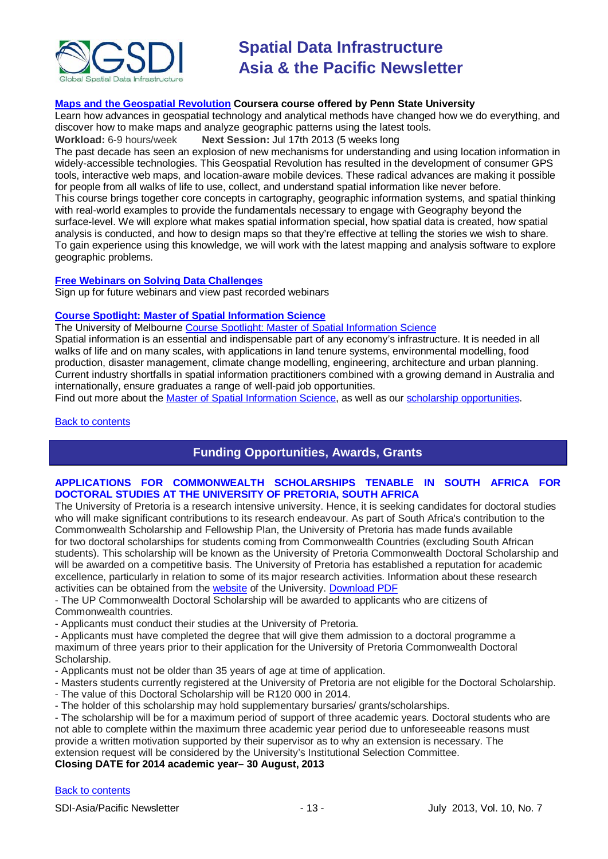

#### **[Maps and the Geospatial Revolution](https://www.coursera.org/course/maps) Coursera course offered by Penn State University**

Learn how advances in geospatial technology and analytical methods have changed how we do everything, and discover how to make maps and analyze geographic patterns using the latest tools.

**Workload:** 6-9 hours/week **Next Session:** Jul 17th 2013 (5 weeks long

The past decade has seen an explosion of new mechanisms for understanding and using location information in widely-accessible technologies. This Geospatial Revolution has resulted in the development of consumer GPS tools, interactive web maps, and location-aware mobile devices. These radical advances are making it possible for people from all walks of life to use, collect, and understand spatial information like never before. This course brings together core concepts in cartography, geographic information systems, and spatial thinking with real-world examples to provide the fundamentals necessary to engage with Geography beyond the surface-level. We will explore what makes spatial information special, how spatial data is created, how spatial analysis is conducted, and how to design maps so that they're effective at telling the stories we wish to share. To gain experience using this knowledge, we will work with the latest mapping and analysis software to explore geographic problems.

#### **[Free Webinars on Solving Data Challenges](http://www.safe.com/learning/webinars/)**

Sign up for future webinars and view past recorded webinars

#### **[Course Spotlight: Master of Spatial Information Science](http://themelbourneengineer.eng.unimelb.edu.au/2012/02/course-spotlight-master-of-spatial-information-science/)**

The University of Melbourne [Course Spotlight: Master of Spatial Information Science](http://themelbourneengineer.eng.unimelb.edu.au/2012/02/course-spotlight-master-of-spatial-information-science/)

Spatial information is an essential and indispensable part of any economy's infrastructure. It is needed in all walks of life and on many scales, with applications in land tenure systems, environmental modelling, food production, disaster management, climate change modelling, engineering, architecture and urban planning. Current industry shortfalls in spatial information practitioners combined with a growing demand in Australia and internationally, ensure graduates a range of well-paid job opportunities.

Find out more about the [Master of Spatial Information Science,](http://www.msi.unimelb.edu.au/study/graduate/master-of-spatial-information-science/) as well as our [scholarship opportunities.](http://www.eng.unimelb.edu.au/study/graduate/scholarships.html)

#### <span id="page-12-0"></span>[Back to contents](#page-0-0)

### **Funding Opportunities, Awards, Grants**

#### **APPLICATIONS FOR COMMONWEALTH SCHOLARSHIPS TENABLE IN SOUTH AFRICA FOR DOCTORAL STUDIES AT THE UNIVERSITY OF PRETORIA, SOUTH AFRICA**

The University of Pretoria is a research intensive university. Hence, it is seeking candidates for doctoral studies who will make significant contributions to its research endeavour. As part of South Africa's contribution to the Commonwealth Scholarship and Fellowship Plan, the University of Pretoria has made funds available for two doctoral scholarships for students coming from Commonwealth Countries (excluding South African students). This scholarship will be known as the University of Pretoria Commonwealth Doctoral Scholarship and will be awarded on a competitive basis. The University of Pretoria has established a reputation for academic excellence, particularly in relation to some of its major research activities. Information about these research activities can be obtained from the [website](http://web.up.ac.za/default.asp?ipkCategoryID=1630) of the University. [Download PDF](http://lists.osgeo.org/pipermail/africa/attachments/20130530/0bafb5b6/attachment-0001.pdf)

- The UP Commonwealth Doctoral Scholarship will be awarded to applicants who are citizens of Commonwealth countries.

- Applicants must conduct their studies at the University of Pretoria.

- Applicants must have completed the degree that will give them admission to a doctoral programme a maximum of three years prior to their application for the University of Pretoria Commonwealth Doctoral Scholarship.

- Applicants must not be older than 35 years of age at time of application.
- Masters students currently registered at the University of Pretoria are not eligible for the Doctoral Scholarship.
- The value of this Doctoral Scholarship will be R120 000 in 2014.
- The holder of this scholarship may hold supplementary bursaries/ grants/scholarships.

- The scholarship will be for a maximum period of support of three academic years. Doctoral students who are not able to complete within the maximum three academic year period due to unforeseeable reasons must provide a written motivation supported by their supervisor as to why an extension is necessary. The extension request will be considered by the University's Institutional Selection Committee.

#### **Closing DATE for 2014 academic year– 30 August, 2013**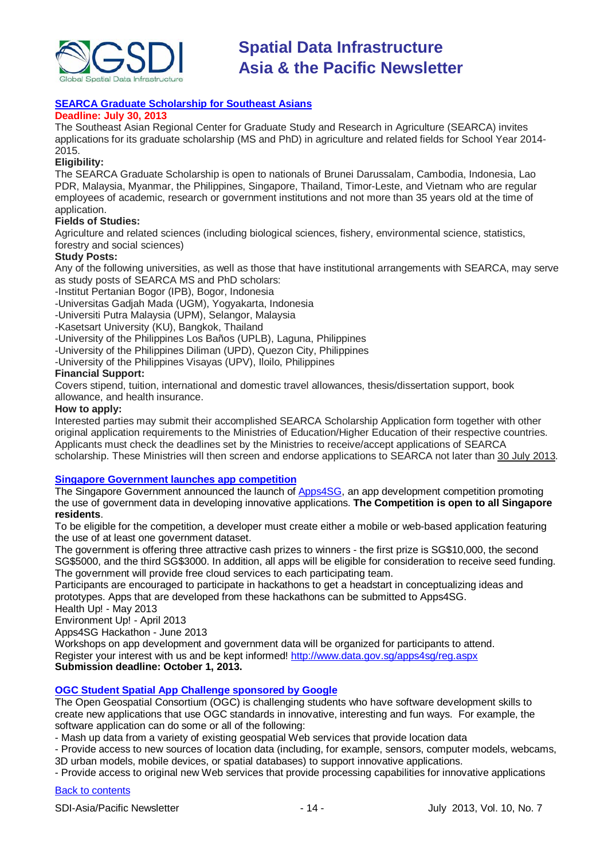

### **[SEARCA Graduate Scholarship for Southeast Asians](http://www.searca.org/index.php/component/content/article/26-scholarship-announcements/990-searca-graduate-scholarship-for-southeast-asians-2014-2015)**

#### **Deadline: July 30, 2013**

The Southeast Asian Regional Center for Graduate Study and Research in Agriculture (SEARCA) invites applications for its graduate scholarship (MS and PhD) in agriculture and related fields for School Year 2014- 2015.

#### **Eligibility:**

The SEARCA Graduate Scholarship is open to nationals of Brunei Darussalam, Cambodia, Indonesia, Lao PDR, Malaysia, Myanmar, the Philippines, Singapore, Thailand, Timor-Leste, and Vietnam who are regular employees of academic, research or government institutions and not more than 35 years old at the time of application.

#### **Fields of Studies:**

Agriculture and related sciences (including biological sciences, fishery, environmental science, statistics, forestry and social sciences)

#### **Study Posts:**

Any of the following universities, as well as those that have institutional arrangements with SEARCA, may serve as study posts of SEARCA MS and PhD scholars:

-Institut Pertanian Bogor (IPB), Bogor, Indonesia

-Universitas Gadjah Mada (UGM), Yogyakarta, Indonesia

-Universiti Putra Malaysia (UPM), Selangor, Malaysia

-Kasetsart University (KU), Bangkok, Thailand

-University of the Philippines Los Baños (UPLB), Laguna, Philippines

-University of the Philippines Diliman (UPD), Quezon City, Philippines

-University of the Philippines Visayas (UPV), Iloilo, Philippines

#### **Financial Support:**

Covers stipend, tuition, international and domestic travel allowances, thesis/dissertation support, book allowance, and health insurance.

#### **How to apply:**

Interested parties may submit their accomplished SEARCA Scholarship Application form together with other original application requirements to the Ministries of Education/Higher Education of their respective countries. Applicants must check the deadlines set by the Ministries to receive/accept applications of SEARCA scholarship. These Ministries will then screen and endorse applications to SEARCA not later than 30 July 2013.

#### **[Singapore Government launches app competition](http://www.futuregov.asia/articles/2013/apr/03/singapore-government-launches-app-competition/)**

The Singapore Government announced the launch of [Apps4SG,](http://www.data.gov.sg/apps4sg/) an app development competition promoting the use of government data in developing innovative applications. **The Competition is open to all Singapore residents**.

To be eligible for the competition, a developer must create either a mobile or web-based application featuring the use of at least one government dataset.

The government is offering three attractive cash prizes to winners - the first prize is SG\$10,000, the second SG\$5000, and the third SG\$3000. In addition, all apps will be eligible for consideration to receive seed funding. The government will provide free cloud services to each participating team.

Participants are encouraged to participate in hackathons to get a headstart in conceptualizing ideas and prototypes. Apps that are developed from these hackathons can be submitted to Apps4SG. Health Up! - May 2013

Environment Up! - April 2013

Apps4SG Hackathon - June 2013

Workshops on app development and government data will be organized for participants to attend. Register your interest with us and be kept informed! [http://www.data.gov.sg/apps4sg/reg.aspx](https://owa.unimelb.edu.au/owa/redir.aspx?C=SzHNAl626ki9PiQZsK0eOSMT6H7CBtAI1q5ZvdwYeK6fo1dS_t5_M86QLVJxctM5SbXJkOBBAIY.&URL=http%3a%2f%2fwww.data.gov.sg%2fapps4sg%2freg.aspx) **Submission deadline: October 1, 2013.**

#### **[OGC Student Spatial App Challenge sponsored by Google](http://appchallenge.opengeospatial.org/index.html)**

The Open Geospatial Consortium (OGC) is challenging students who have software development skills to create new applications that use OGC standards in innovative, interesting and fun ways. For example, the software application can do some or all of the following:

- Mash up data from a variety of existing geospatial Web services that provide location data

- Provide access to new sources of location data (including, for example, sensors, computer models, webcams, 3D urban models, mobile devices, or spatial databases) to support innovative applications.

- Provide access to original new Web services that provide processing capabilities for innovative applications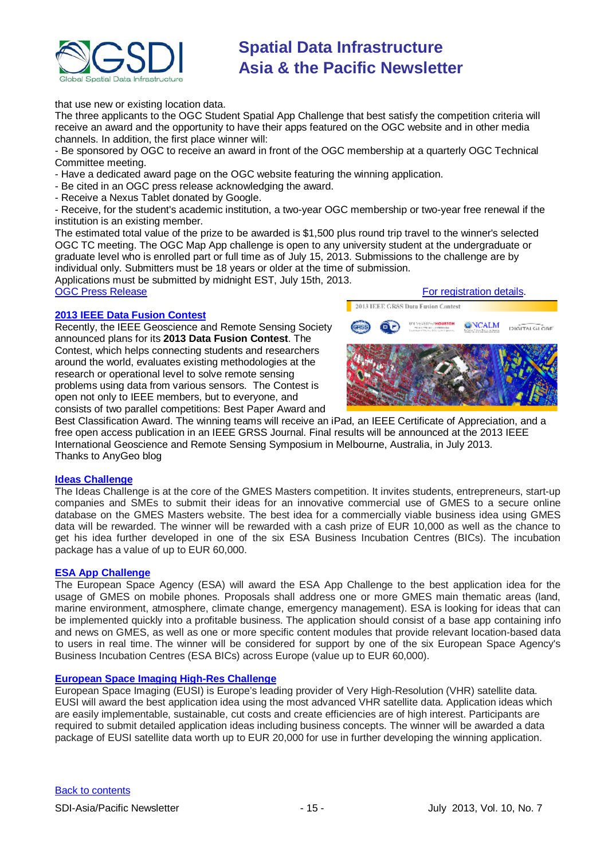

that use new or existing location data.

The three applicants to the OGC Student Spatial App Challenge that best satisfy the competition criteria will receive an award and the opportunity to have their apps featured on the OGC website and in other media channels. In addition, the first place winner will:

- Be sponsored by OGC to receive an award in front of the OGC membership at a quarterly OGC Technical Committee meeting.

- Have a dedicated award page on the OGC website featuring the winning application.

- Be cited in an OGC press release acknowledging the award.
- Receive a Nexus Tablet donated by Google.

- Receive, for the student's academic institution, a two-year OGC membership or two-year free renewal if the institution is an existing member.

The estimated total value of the prize to be awarded is \$1,500 plus round trip travel to the winner's selected OGC TC meeting. The OGC Map App challenge is open to any university student at the undergraduate or graduate level who is enrolled part or full time as of July 15, 2013. Submissions to the challenge are by individual only. Submitters must be 18 years or older at the time of submission.

Applications must be submitted by midnight EST, July 15th, 2013.

#### **[2013 IEEE Data Fusion Contest](http://www.grss-ieee.org/community/technical-committees/data-fusion/data-fusion-contest/)**

Recently, the IEEE Geoscience and Remote Sensing Society announced plans for its **2013 Data Fusion Contest**. The Contest, which helps connecting students and researchers around the world, evaluates existing methodologies at the research or operational level to solve remote sensing problems using data from various sensors. The Contest is open not only to IEEE members, but to everyone, and consists of two parallel competitions: Best Paper Award and



Best Classification Award. The winning teams will receive an iPad, an IEEE Certificate of Appreciation, and a free open access publication in an IEEE GRSS Journal. Final results will be announced at the 2013 IEEE International Geoscience and Remote Sensing Symposium in Melbourne, Australia, in July 2013. Thanks to AnyGeo blog

#### **[Ideas Challenge](http://www.gmes-masters.com/ideas-challenge)**

The Ideas Challenge is at the core of the GMES Masters competition. It invites students, entrepreneurs, start-up companies and SMEs to submit their ideas for an innovative commercial use of GMES to a secure online database on the GMES Masters website. The best idea for a commercially viable business idea using GMES data will be rewarded. The winner will be rewarded with a cash prize of EUR 10,000 as well as the chance to get his idea further developed in one of the six ESA Business Incubation Centres (BICs). The incubation package has a value of up to EUR 60,000.

#### **[ESA App Challenge](http://www.gmes-masters.com/esa-app-challenge)**

The European Space Agency (ESA) will award the ESA App Challenge to the best application idea for the usage of GMES on mobile phones. Proposals shall address one or more GMES main thematic areas (land, marine environment, atmosphere, climate change, emergency management). ESA is looking for ideas that can be implemented quickly into a profitable business. The application should consist of a base app containing info and news on GMES, as well as one or more specific content modules that provide relevant location-based data to users in real time. The winner will be considered for support by one of the six European Space Agency's Business Incubation Centres (ESA BICs) across Europe (value up to EUR 60,000).

#### **[European Space Imaging High-Res Challenge](http://www.gmes-masters.com/european-space-0)**

European Space Imaging (EUSI) is Europe's leading provider of Very High-Resolution (VHR) satellite data. EUSI will award the best application idea using the most advanced VHR satellite data. Application ideas which are easily implementable, sustainable, cut costs and create efficiencies are of high interest. Participants are required to submit detailed application ideas including business concepts. The winner will be awarded a data package of EUSI satellite data worth up to EUR 20,000 for use in further developing the winning application.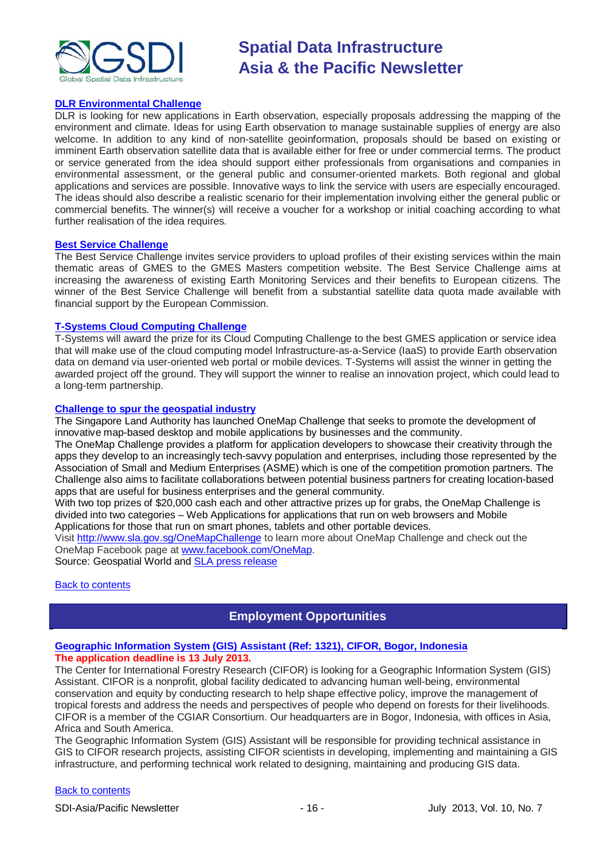

#### **[DLR Environmental Challenge](http://www.gmes-masters.com/dlr-environmental)**

DLR is looking for new applications in Earth observation, especially proposals addressing the mapping of the environment and climate. Ideas for using Earth observation to manage sustainable supplies of energy are also welcome. In addition to any kind of non-satellite geoinformation, proposals should be based on existing or imminent Earth observation satellite data that is available either for free or under commercial terms. The product or service generated from the idea should support either professionals from organisations and companies in environmental assessment, or the general public and consumer-oriented markets. Both regional and global applications and services are possible. Innovative ways to link the service with users are especially encouraged. The ideas should also describe a realistic scenario for their implementation involving either the general public or commercial benefits. The winner(s) will receive a voucher for a workshop or initial coaching according to what further realisation of the idea requires.

#### **[Best Service Challenge](http://www.gmes-masters.com/best-service)**

The Best Service Challenge invites service providers to upload profiles of their existing services within the main thematic areas of GMES to the GMES Masters competition website. The Best Service Challenge aims at increasing the awareness of existing Earth Monitoring Services and their benefits to European citizens. The winner of the Best Service Challenge will benefit from a substantial satellite data quota made available with financial support by the European Commission.

#### **[T-Systems Cloud Computing Challenge](http://www.gmes-masters.com/t-systems-cloud)**

T-Systems will award the prize for its Cloud Computing Challenge to the best GMES application or service idea that will make use of the cloud computing model Infrastructure-as-a-Service (IaaS) to provide Earth observation data on demand via user-oriented web portal or mobile devices. T-Systems will assist the winner in getting the awarded project off the ground. They will support the winner to realise an innovation project, which could lead to a long-term partnership.

#### **[Challenge to spur the geospatial industry](http://geospatialworld.net/index.php?option=com_content&view=article&id=23850:challenge-to-spur-the-geospatial-industry&catid=75:miscellaneous-events)**

The Singapore Land Authority has launched OneMap Challenge that seeks to promote the development of innovative map-based desktop and mobile applications by businesses and the community.

The OneMap Challenge provides a platform for application developers to showcase their creativity through the apps they develop to an increasingly tech-savvy population and enterprises, including those represented by the Association of Small and Medium Enterprises (ASME) which is one of the competition promotion partners. The Challenge also aims to facilitate collaborations between potential business partners for creating location-based apps that are useful for business enterprises and the general community.

With two top prizes of \$20,000 cash each and other attractive prizes up for grabs, the OneMap Challenge is divided into two categories – Web Applications for applications that run on web browsers and Mobile Applications for those that run on smart phones, tablets and other portable devices.

Visit <http://www.sla.gov.sg/OneMapChallenge> to learn more about OneMap Challenge and check out the OneMap Facebook page at [www.facebook.com/OneMap.](http://www.facebook.com/OneMap)

Source: Geospatial World and [SLA press release](http://www.sla.gov.sg/htm/new/new2012/new0401.htm)

#### <span id="page-15-0"></span>**[Back to contents](#page-0-0)**

### **Employment Opportunities**

#### **[Geographic Information System \(GIS\) Assistant \(Ref: 1321\), CIFOR, Bogor, Indonesia](http://www.cifor.org/about-us/careers-with-cifor/careers-detail-view/article/1299/geographic-information-system-gis-assistant-ref-1321.html) The application deadline is 13 July 2013.**

The Center for International Forestry Research (CIFOR) is looking for a Geographic Information System (GIS) Assistant. CIFOR is a nonprofit, global facility dedicated to advancing human well-being, environmental conservation and equity by conducting research to help shape effective policy, improve the management of tropical forests and address the needs and perspectives of people who depend on forests for their livelihoods. CIFOR is a member of the CGIAR Consortium. Our headquarters are in Bogor, Indonesia, with offices in Asia, Africa and South America.

The Geographic Information System (GIS) Assistant will be responsible for providing technical assistance in GIS to CIFOR research projects, assisting CIFOR scientists in developing, implementing and maintaining a GIS infrastructure, and performing technical work related to designing, maintaining and producing GIS data.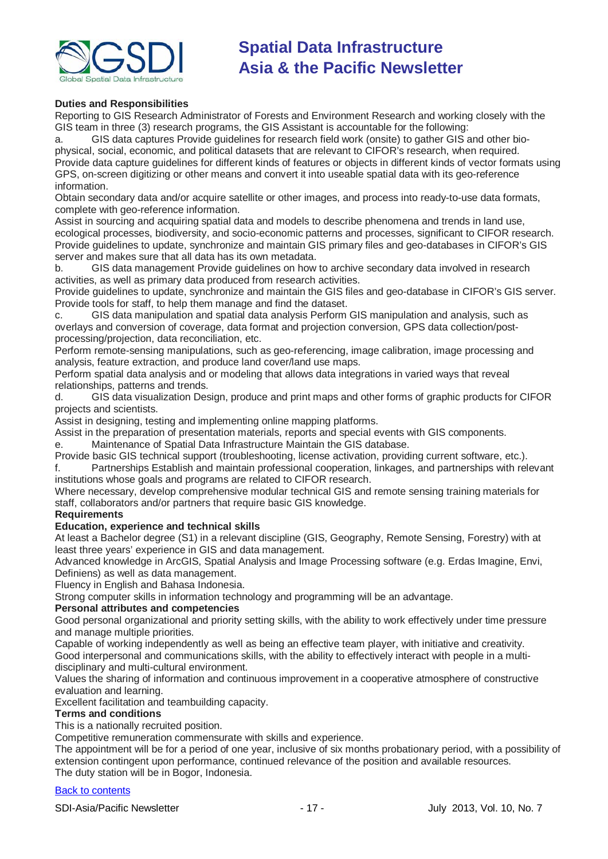

#### **Duties and Responsibilities**

Reporting to GIS Research Administrator of Forests and Environment Research and working closely with the GIS team in three (3) research programs, the GIS Assistant is accountable for the following:

a. GIS data captures Provide guidelines for research field work (onsite) to gather GIS and other biophysical, social, economic, and political datasets that are relevant to CIFOR's research, when required. Provide data capture guidelines for different kinds of features or objects in different kinds of vector formats using GPS, on-screen digitizing or other means and convert it into useable spatial data with its geo-reference information.

Obtain secondary data and/or acquire satellite or other images, and process into ready-to-use data formats, complete with geo-reference information.

Assist in sourcing and acquiring spatial data and models to describe phenomena and trends in land use, ecological processes, biodiversity, and socio-economic patterns and processes, significant to CIFOR research. Provide guidelines to update, synchronize and maintain GIS primary files and geo-databases in CIFOR's GIS server and makes sure that all data has its own metadata.

b. GIS data management Provide guidelines on how to archive secondary data involved in research activities, as well as primary data produced from research activities.

Provide guidelines to update, synchronize and maintain the GIS files and geo-database in CIFOR's GIS server. Provide tools for staff, to help them manage and find the dataset.

c. GIS data manipulation and spatial data analysis Perform GIS manipulation and analysis, such as overlays and conversion of coverage, data format and projection conversion, GPS data collection/postprocessing/projection, data reconciliation, etc.

Perform remote-sensing manipulations, such as geo-referencing, image calibration, image processing and analysis, feature extraction, and produce land cover/land use maps.

Perform spatial data analysis and or modeling that allows data integrations in varied ways that reveal relationships, patterns and trends.

d. GIS data visualization Design, produce and print maps and other forms of graphic products for CIFOR projects and scientists.

Assist in designing, testing and implementing online mapping platforms.

Assist in the preparation of presentation materials, reports and special events with GIS components.

e. Maintenance of Spatial Data Infrastructure Maintain the GIS database.

Provide basic GIS technical support (troubleshooting, license activation, providing current software, etc.).

f. Partnerships Establish and maintain professional cooperation, linkages, and partnerships with relevant institutions whose goals and programs are related to CIFOR research.

Where necessary, develop comprehensive modular technical GIS and remote sensing training materials for staff, collaborators and/or partners that require basic GIS knowledge.

#### **Requirements**

#### **Education, experience and technical skills**

At least a Bachelor degree (S1) in a relevant discipline (GIS, Geography, Remote Sensing, Forestry) with at least three years' experience in GIS and data management.

Advanced knowledge in ArcGIS, Spatial Analysis and Image Processing software (e.g. Erdas Imagine, Envi, Definiens) as well as data management.

Fluency in English and Bahasa Indonesia.

Strong computer skills in information technology and programming will be an advantage.

#### **Personal attributes and competencies**

Good personal organizational and priority setting skills, with the ability to work effectively under time pressure and manage multiple priorities.

Capable of working independently as well as being an effective team player, with initiative and creativity. Good interpersonal and communications skills, with the ability to effectively interact with people in a multidisciplinary and multi-cultural environment.

Values the sharing of information and continuous improvement in a cooperative atmosphere of constructive evaluation and learning.

Excellent facilitation and teambuilding capacity.

### **Terms and conditions**

This is a nationally recruited position.

Competitive remuneration commensurate with skills and experience.

The appointment will be for a period of one year, inclusive of six months probationary period, with a possibility of extension contingent upon performance, continued relevance of the position and available resources. The duty station will be in Bogor, Indonesia.

#### [Back to contents](#page-0-0)

SDI-Asia/Pacific Newsletter 1992 12:00 10:00 10:00 12:00 12:00 12:00 12:00 12:00 12:00 12:00 12:00 12:00 12:00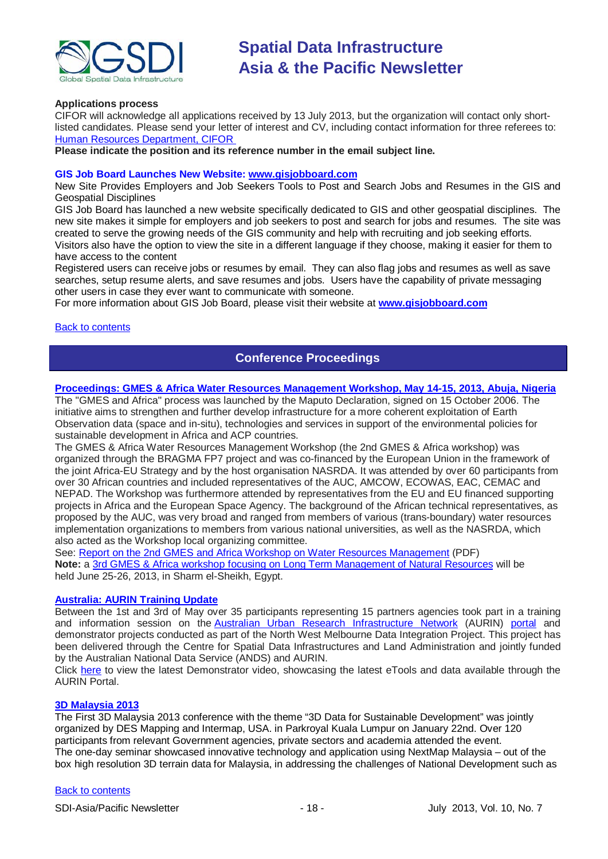

#### **Applications process**

CIFOR will acknowledge all applications received by 13 July 2013, but the organization will contact only shortlisted candidates. Please send your letter of interest and CV, including contact information for three referees to: [Human Resources Department, CIFOR](mailto:cifor-hr-jobs@cgiar.org)

**Please indicate the position and its reference number in the email subject line.**

#### **GIS Job Board Launches New Website: [www.gisjobboard.com](http://www.gisjobboard.com/)**

New Site Provides Employers and Job Seekers Tools to Post and Search Jobs and Resumes in the GIS and Geospatial Disciplines

GIS Job Board has launched a new website specifically dedicated to GIS and other geospatial disciplines. The new site makes it simple for employers and job seekers to post and search for jobs and resumes. The site was created to serve the growing needs of the GIS community and help with recruiting and job seeking efforts. Visitors also have the option to view the site in a different language if they choose, making it easier for them to have access to the content

Registered users can receive jobs or resumes by email. They can also flag jobs and resumes as well as save searches, setup resume alerts, and save resumes and jobs. Users have the capability of private messaging other users in case they ever want to communicate with someone.

For more information about GIS Job Board, please visit their website at **[www.gisjobboard.com](http://www.gisjobboard.com/)**

#### <span id="page-17-0"></span>[Back to contents](#page-0-0)

### **Conference Proceedings**

#### **[Proceedings: GMES & Africa Water Resources Management Workshop, May 14-15, 2013, Abuja, Nigeria](http://capacity4dev.ec.europa.eu/africa-eu-part.gmes/minisite/water-resources-management-workshop-14-15-may-2013-abuja-nigeria)**

The "GMES and Africa" process was launched by the Maputo Declaration, signed on 15 October 2006. The initiative aims to strengthen and further develop infrastructure for a more coherent exploitation of Earth Observation data (space and in-situ), technologies and services in support of the environmental policies for sustainable development in Africa and ACP countries.

The GMES & Africa Water Resources Management Workshop (the 2nd GMES & Africa workshop) was organized through the BRAGMA FP7 project and was co-financed by the European Union in the framework of the joint Africa-EU Strategy and by the host organisation NASRDA. It was attended by over 60 participants from over 30 African countries and included representatives of the AUC, AMCOW, ECOWAS, EAC, CEMAC and NEPAD. The Workshop was furthermore attended by representatives from the EU and EU financed supporting projects in Africa and the European Space Agency. The background of the African technical representatives, as proposed by the AUC, was very broad and ranged from members of various (trans-boundary) water resources implementation organizations to members from various national universities, as well as the NASRDA, which also acted as the Workshop local organizing committee.

See: [Report on the 2nd GMES and Africa Workshop on Water Resources Management](http://capacity4dev.ec.europa.eu/sites/default/files/file/23/05/2013_-_1210/report_on_the_2nd_gmes_and_africa_workshop_on_wrm.pdf) (PDF) **Note:** a 3rd [GMES & Africa workshop focusing on Long Term Management of Natural Resources](http://capacity4dev.ec.europa.eu/africa-eu-part.gmes/minisite/3-long-term-management-natural-resources-workshop) will be held June 25-26, 2013, in Sharm el-Sheikh, Egypt.

#### **[Australia: AURIN Training Update](http://blogs.unimelb.edu.au/aurinands/2013/05/13/aurin-training-update/)**

Between the 1st and 3rd of May over 35 participants representing 15 partners agencies took part in a training and information session on the [Australian Urban Research Infrastructure Network](http://aurin.org.au/) (AURIN) [portal](https://apps.aurin.org.au/gate/index.html) and demonstrator projects conducted as part of the North West Melbourne Data Integration Project. This project has been delivered through the Centre for Spatial Data Infrastructures and Land Administration and jointly funded by the Australian National Data Service (ANDS) and AURIN.

Click [here](http://vimeo.com/62744887) to view the latest Demonstrator video, showcasing the latest eTools and data available through the AURIN Portal.

#### **[3D Malaysia 2013](http://www.asmmag.com/2012-12-30-14-58-59/event-coverage/4730-takeaways-from-3d-malaysia-2013.html)**

The First 3D Malaysia 2013 conference with the theme "3D Data for Sustainable Development" was jointly organized by DES Mapping and Intermap, USA. in Parkroyal Kuala Lumpur on January 22nd. Over 120 participants from relevant Government agencies, private sectors and academia attended the event. The one-day seminar showcased innovative technology and application using NextMap Malaysia – out of the box high resolution 3D terrain data for Malaysia, in addressing the challenges of National Development such as

#### [Back to contents](#page-0-0)

SDI-Asia/Pacific Newsletter 1992 - 18 - 18 - July 2013, Vol. 10, No. 7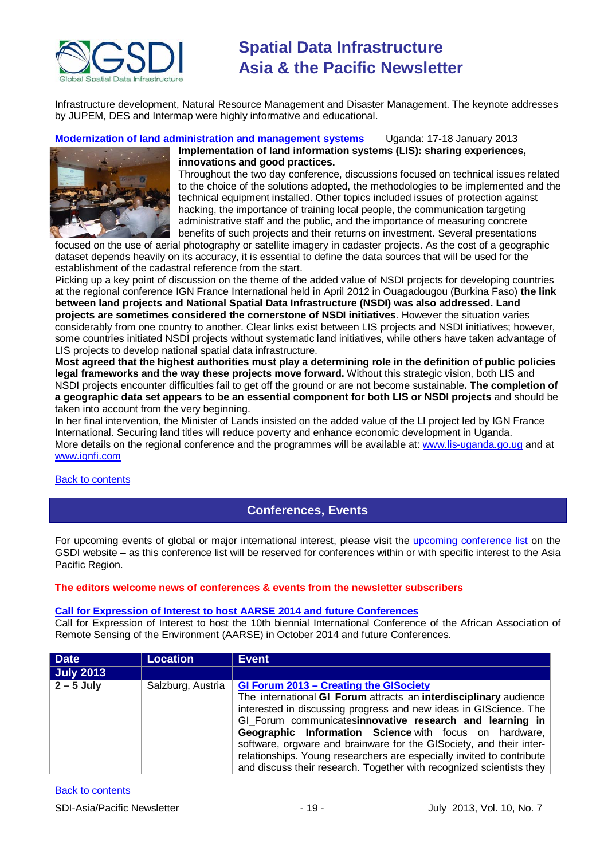

Infrastructure development, Natural Resource Management and Disaster Management. The keynote addresses by JUPEM, DES and Intermap were highly informative and educational.

**Modernization of land administration and management systems** Uganda: 17-18 January 2013



### **Implementation of land information systems (LIS): sharing experiences, innovations and good practices.**

Throughout the two day conference, discussions focused on technical issues related to the choice of the solutions adopted, the methodologies to be implemented and the technical equipment installed. Other topics included issues of protection against hacking, the importance of training local people, the communication targeting administrative staff and the public, and the importance of measuring concrete benefits of such projects and their returns on investment. Several presentations

focused on the use of aerial photography or satellite imagery in cadaster projects. As the cost of a geographic dataset depends heavily on its accuracy, it is essential to define the data sources that will be used for the establishment of the cadastral reference from the start.

Picking up a key point of discussion on the theme of the added value of NSDI projects for developing countries at the regional conference IGN France International held in April 2012 in Ouagadougou (Burkina Faso) **the link between land projects and National Spatial Data Infrastructure (NSDI) was also addressed. Land projects are sometimes considered the cornerstone of NSDI initiatives**. However the situation varies considerably from one country to another. Clear links exist between LIS projects and NSDI initiatives; however, some countries initiated NSDI projects without systematic land initiatives, while others have taken advantage of LIS projects to develop national spatial data infrastructure.

**Most agreed that the highest authorities must play a determining role in the definition of public policies legal frameworks and the way these projects move forward.** Without this strategic vision, both LIS and NSDI projects encounter difficulties fail to get off the ground or are not become sustainable**. The completion of a geographic data set appears to be an essential component for both LIS or NSDI projects** and should be taken into account from the very beginning.

In her final intervention, the Minister of Lands insisted on the added value of the LI project led by IGN France International. Securing land titles will reduce poverty and enhance economic development in Uganda. More details on the regional conference and the programmes will be available at: [www.lis-uganda.go.ug](http://www.lis-uganda.go.ug/) and at [www.ignfi.com](http://www.ignfi.com/)

<span id="page-18-0"></span>[Back to contents](#page-0-0)

### **Conferences, Events**

For upcoming events of global or major international interest, please visit the [upcoming conference list o](http://gsdi.org/events/upcnf.asp)n the GSDI website – as this conference list will be reserved for conferences within or with specific interest to the Asia Pacific Region.

### **The editors welcome news of conferences & events from the newsletter subscribers**

#### **[Call for Expression of Interest to host AARSE 2014 and future Conferences](http://lists.gsdi.org/pipermail/sdi-africa/2010-November/001135.html)**

Call for Expression of Interest to host the 10th biennial International Conference of the African Association of Remote Sensing of the Environment (AARSE) in October 2014 and future Conferences.

| <b>Date</b>      | <b>Location</b>   | <b>Event</b>                                                                                                                                                                                                                                                                                                                                                                                                                                                                                                                   |
|------------------|-------------------|--------------------------------------------------------------------------------------------------------------------------------------------------------------------------------------------------------------------------------------------------------------------------------------------------------------------------------------------------------------------------------------------------------------------------------------------------------------------------------------------------------------------------------|
| <b>July 2013</b> |                   |                                                                                                                                                                                                                                                                                                                                                                                                                                                                                                                                |
| $2 - 5$ July     | Salzburg, Austria | GI Forum 2013 - Creating the GISociety<br>The international GI Forum attracts an interdisciplinary audience<br>interested in discussing progress and new ideas in GIScience. The<br>GI Forum communicatesinnovative research and learning in<br>Geographic Information Science with focus on hardware,<br>software, orgware and brainware for the GISociety, and their inter-<br>relationships. Young researchers are especially invited to contribute<br>and discuss their research. Together with recognized scientists they |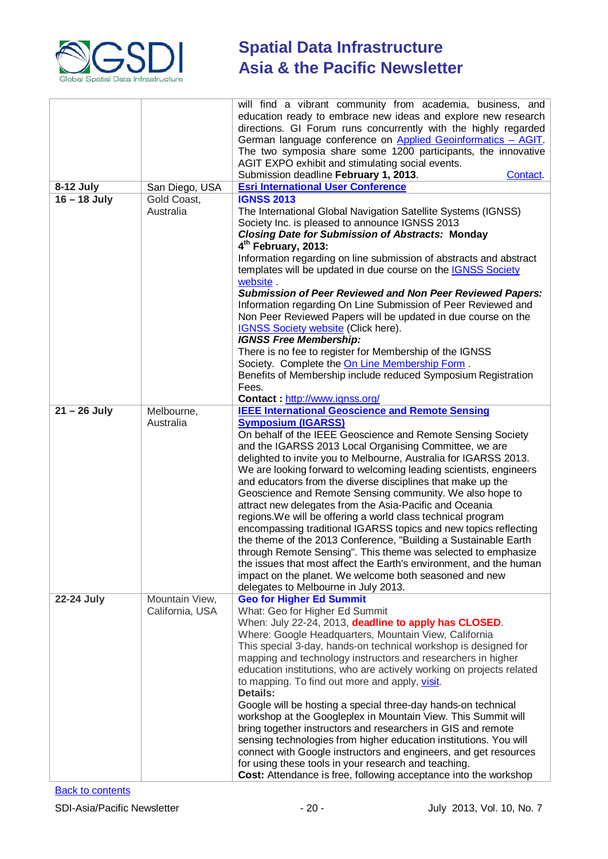

|                |                 | will find a vibrant community from academia, business, and<br>education ready to embrace new ideas and explore new research<br>directions. GI Forum runs concurrently with the highly regarded<br>German language conference on Applied Geoinformatics - AGIT.<br>The two symposia share some 1200 participants, the innovative<br>AGIT EXPO exhibit and stimulating social events.<br>Submission deadline February 1, 2013.<br>Contact.                                                                                                                                     |
|----------------|-----------------|------------------------------------------------------------------------------------------------------------------------------------------------------------------------------------------------------------------------------------------------------------------------------------------------------------------------------------------------------------------------------------------------------------------------------------------------------------------------------------------------------------------------------------------------------------------------------|
| 8-12 July      | San Diego, USA  | <b>Esri International User Conference</b>                                                                                                                                                                                                                                                                                                                                                                                                                                                                                                                                    |
| $16 - 18$ July | Gold Coast,     | <b>IGNSS 2013</b>                                                                                                                                                                                                                                                                                                                                                                                                                                                                                                                                                            |
|                | Australia       | The International Global Navigation Satellite Systems (IGNSS)<br>Society Inc. is pleased to announce IGNSS 2013<br><b>Closing Date for Submission of Abstracts: Monday</b><br>4 <sup>th</sup> February, 2013:<br>Information regarding on line submission of abstracts and abstract<br>templates will be updated in due course on the <b>IGNSS Society</b><br>website.<br><b>Submission of Peer Reviewed and Non Peer Reviewed Papers:</b><br>Information regarding On Line Submission of Peer Reviewed and<br>Non Peer Reviewed Papers will be updated in due course on the |
|                |                 | IGNSS Society website (Click here).                                                                                                                                                                                                                                                                                                                                                                                                                                                                                                                                          |
|                |                 | <b>IGNSS Free Membership:</b>                                                                                                                                                                                                                                                                                                                                                                                                                                                                                                                                                |
|                |                 | There is no fee to register for Membership of the IGNSS                                                                                                                                                                                                                                                                                                                                                                                                                                                                                                                      |
|                |                 | Society. Complete the On Line Membership Form.                                                                                                                                                                                                                                                                                                                                                                                                                                                                                                                               |
|                |                 | Benefits of Membership include reduced Symposium Registration                                                                                                                                                                                                                                                                                                                                                                                                                                                                                                                |
|                |                 | Fees.                                                                                                                                                                                                                                                                                                                                                                                                                                                                                                                                                                        |
|                |                 | Contact: http://www.ignss.org/                                                                                                                                                                                                                                                                                                                                                                                                                                                                                                                                               |
| $21 - 26$ July | Melbourne,      | <b>IEEE International Geoscience and Remote Sensing</b>                                                                                                                                                                                                                                                                                                                                                                                                                                                                                                                      |
|                | Australia       | <b>Symposium (IGARSS)</b>                                                                                                                                                                                                                                                                                                                                                                                                                                                                                                                                                    |
|                |                 | On behalf of the IEEE Geoscience and Remote Sensing Society<br>and the IGARSS 2013 Local Organising Committee, we are                                                                                                                                                                                                                                                                                                                                                                                                                                                        |
|                |                 | delighted to invite you to Melbourne, Australia for IGARSS 2013.                                                                                                                                                                                                                                                                                                                                                                                                                                                                                                             |
|                |                 | We are looking forward to welcoming leading scientists, engineers<br>and educators from the diverse disciplines that make up the                                                                                                                                                                                                                                                                                                                                                                                                                                             |
|                |                 | Geoscience and Remote Sensing community. We also hope to                                                                                                                                                                                                                                                                                                                                                                                                                                                                                                                     |
|                |                 | attract new delegates from the Asia-Pacific and Oceania                                                                                                                                                                                                                                                                                                                                                                                                                                                                                                                      |
|                |                 | regions. We will be offering a world class technical program                                                                                                                                                                                                                                                                                                                                                                                                                                                                                                                 |
|                |                 | encompassing traditional IGARSS topics and new topics reflecting                                                                                                                                                                                                                                                                                                                                                                                                                                                                                                             |
|                |                 | the theme of the 2013 Conference, "Building a Sustainable Earth                                                                                                                                                                                                                                                                                                                                                                                                                                                                                                              |
|                |                 | through Remote Sensing". This theme was selected to emphasize                                                                                                                                                                                                                                                                                                                                                                                                                                                                                                                |
|                |                 | the issues that most affect the Earth's environment, and the human<br>impact on the planet. We welcome both seasoned and new                                                                                                                                                                                                                                                                                                                                                                                                                                                 |
|                |                 | delegates to Melbourne in July 2013.                                                                                                                                                                                                                                                                                                                                                                                                                                                                                                                                         |
| 22-24 July     | Mountain View,  | <b>Geo for Higher Ed Summit</b>                                                                                                                                                                                                                                                                                                                                                                                                                                                                                                                                              |
|                | California, USA | What: Geo for Higher Ed Summit                                                                                                                                                                                                                                                                                                                                                                                                                                                                                                                                               |
|                |                 | When: July 22-24, 2013, deadline to apply has CLOSED.                                                                                                                                                                                                                                                                                                                                                                                                                                                                                                                        |
|                |                 | Where: Google Headquarters, Mountain View, California                                                                                                                                                                                                                                                                                                                                                                                                                                                                                                                        |
|                |                 | This special 3-day, hands-on technical workshop is designed for                                                                                                                                                                                                                                                                                                                                                                                                                                                                                                              |
|                |                 | mapping and technology instructors and researchers in higher<br>education institutions, who are actively working on projects related                                                                                                                                                                                                                                                                                                                                                                                                                                         |
|                |                 | to mapping. To find out more and apply, visit.<br><b>Details:</b>                                                                                                                                                                                                                                                                                                                                                                                                                                                                                                            |
|                |                 | Google will be hosting a special three-day hands-on technical                                                                                                                                                                                                                                                                                                                                                                                                                                                                                                                |
|                |                 | workshop at the Googleplex in Mountain View. This Summit will                                                                                                                                                                                                                                                                                                                                                                                                                                                                                                                |
|                |                 | bring together instructors and researchers in GIS and remote                                                                                                                                                                                                                                                                                                                                                                                                                                                                                                                 |
|                |                 | sensing technologies from higher education institutions. You will                                                                                                                                                                                                                                                                                                                                                                                                                                                                                                            |
|                |                 | connect with Google instructors and engineers, and get resources                                                                                                                                                                                                                                                                                                                                                                                                                                                                                                             |
|                |                 | for using these tools in your research and teaching.<br>Cost: Attendance is free, following acceptance into the workshop                                                                                                                                                                                                                                                                                                                                                                                                                                                     |
|                |                 |                                                                                                                                                                                                                                                                                                                                                                                                                                                                                                                                                                              |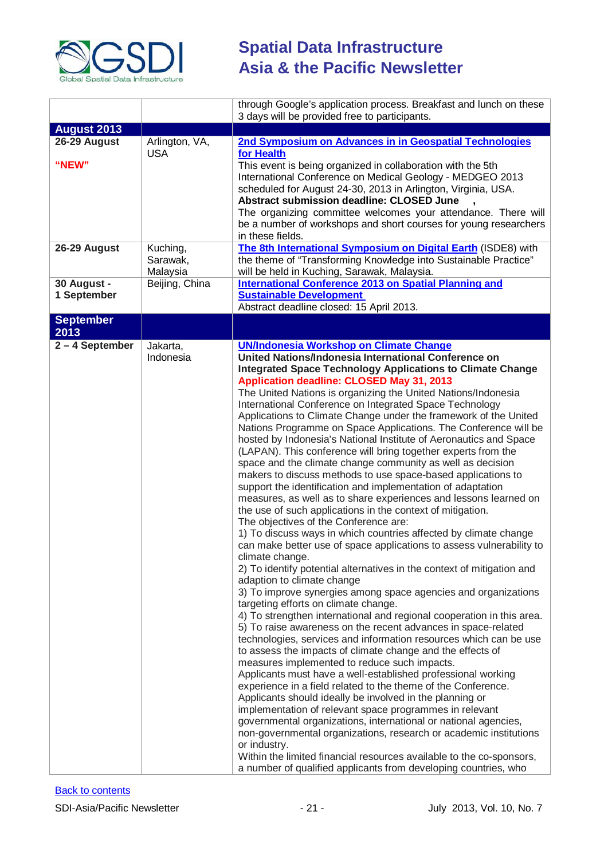

|                            |                                  | through Google's application process. Breakfast and lunch on these<br>3 days will be provided free to participants.                                                                                                                                                                                                                                                                                                                                                                                                                                                                                                                                                                                                                                                                                                                                                                                                                                                                                                                                                                                                                                                                                                                                                                                                                                                                                                                                                                                                                                                                                                                                                                                                                                                                                                                                                                                                                                                                                                                                                                                                                                                                                                                                                         |
|----------------------------|----------------------------------|-----------------------------------------------------------------------------------------------------------------------------------------------------------------------------------------------------------------------------------------------------------------------------------------------------------------------------------------------------------------------------------------------------------------------------------------------------------------------------------------------------------------------------------------------------------------------------------------------------------------------------------------------------------------------------------------------------------------------------------------------------------------------------------------------------------------------------------------------------------------------------------------------------------------------------------------------------------------------------------------------------------------------------------------------------------------------------------------------------------------------------------------------------------------------------------------------------------------------------------------------------------------------------------------------------------------------------------------------------------------------------------------------------------------------------------------------------------------------------------------------------------------------------------------------------------------------------------------------------------------------------------------------------------------------------------------------------------------------------------------------------------------------------------------------------------------------------------------------------------------------------------------------------------------------------------------------------------------------------------------------------------------------------------------------------------------------------------------------------------------------------------------------------------------------------------------------------------------------------------------------------------------------------|
| <b>August 2013</b>         |                                  |                                                                                                                                                                                                                                                                                                                                                                                                                                                                                                                                                                                                                                                                                                                                                                                                                                                                                                                                                                                                                                                                                                                                                                                                                                                                                                                                                                                                                                                                                                                                                                                                                                                                                                                                                                                                                                                                                                                                                                                                                                                                                                                                                                                                                                                                             |
| 26-29 August<br>"NEW"      | Arlington, VA,<br><b>USA</b>     | 2nd Symposium on Advances in in Geospatial Technologies<br>for Health<br>This event is being organized in collaboration with the 5th<br>International Conference on Medical Geology - MEDGEO 2013<br>scheduled for August 24-30, 2013 in Arlington, Virginia, USA.<br><b>Abstract submission deadline: CLOSED June</b><br>The organizing committee welcomes your attendance. There will<br>be a number of workshops and short courses for young researchers<br>in these fields.                                                                                                                                                                                                                                                                                                                                                                                                                                                                                                                                                                                                                                                                                                                                                                                                                                                                                                                                                                                                                                                                                                                                                                                                                                                                                                                                                                                                                                                                                                                                                                                                                                                                                                                                                                                             |
| 26-29 August               | Kuching,<br>Sarawak,<br>Malaysia | The 8th International Symposium on Digital Earth (ISDE8) with<br>the theme of "Transforming Knowledge into Sustainable Practice"<br>will be held in Kuching, Sarawak, Malaysia.                                                                                                                                                                                                                                                                                                                                                                                                                                                                                                                                                                                                                                                                                                                                                                                                                                                                                                                                                                                                                                                                                                                                                                                                                                                                                                                                                                                                                                                                                                                                                                                                                                                                                                                                                                                                                                                                                                                                                                                                                                                                                             |
| 30 August -<br>1 September | Beijing, China                   | <b>International Conference 2013 on Spatial Planning and</b><br><b>Sustainable Development</b><br>Abstract deadline closed: 15 April 2013.                                                                                                                                                                                                                                                                                                                                                                                                                                                                                                                                                                                                                                                                                                                                                                                                                                                                                                                                                                                                                                                                                                                                                                                                                                                                                                                                                                                                                                                                                                                                                                                                                                                                                                                                                                                                                                                                                                                                                                                                                                                                                                                                  |
| <b>September</b><br>2013   |                                  |                                                                                                                                                                                                                                                                                                                                                                                                                                                                                                                                                                                                                                                                                                                                                                                                                                                                                                                                                                                                                                                                                                                                                                                                                                                                                                                                                                                                                                                                                                                                                                                                                                                                                                                                                                                                                                                                                                                                                                                                                                                                                                                                                                                                                                                                             |
| $2 - 4$ September          | Jakarta,<br>Indonesia            | <b>UN/Indonesia Workshop on Climate Change</b><br>United Nations/Indonesia International Conference on<br>Integrated Space Technology Applications to Climate Change<br>Application deadline: CLOSED May 31, 2013<br>The United Nations is organizing the United Nations/Indonesia<br>International Conference on Integrated Space Technology<br>Applications to Climate Change under the framework of the United<br>Nations Programme on Space Applications. The Conference will be<br>hosted by Indonesia's National Institute of Aeronautics and Space<br>(LAPAN). This conference will bring together experts from the<br>space and the climate change community as well as decision<br>makers to discuss methods to use space-based applications to<br>support the identification and implementation of adaptation<br>measures, as well as to share experiences and lessons learned on<br>the use of such applications in the context of mitigation.<br>The objectives of the Conference are:<br>1) To discuss ways in which countries affected by climate change<br>can make better use of space applications to assess vulnerability to<br>climate change.<br>2) To identify potential alternatives in the context of mitigation and<br>adaption to climate change<br>3) To improve synergies among space agencies and organizations<br>targeting efforts on climate change.<br>4) To strengthen international and regional cooperation in this area.<br>5) To raise awareness on the recent advances in space-related<br>technologies, services and information resources which can be use<br>to assess the impacts of climate change and the effects of<br>measures implemented to reduce such impacts.<br>Applicants must have a well-established professional working<br>experience in a field related to the theme of the Conference.<br>Applicants should ideally be involved in the planning or<br>implementation of relevant space programmes in relevant<br>governmental organizations, international or national agencies,<br>non-governmental organizations, research or academic institutions<br>or industry.<br>Within the limited financial resources available to the co-sponsors,<br>a number of qualified applicants from developing countries, who |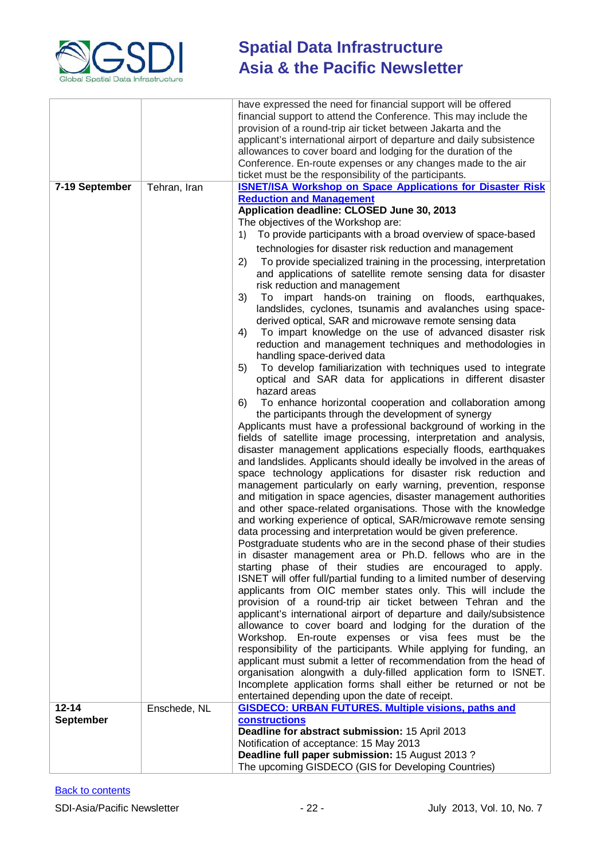

|                  |              | have expressed the need for financial support will be offered                                                                          |
|------------------|--------------|----------------------------------------------------------------------------------------------------------------------------------------|
|                  |              | financial support to attend the Conference. This may include the                                                                       |
|                  |              | provision of a round-trip air ticket between Jakarta and the<br>applicant's international airport of departure and daily subsistence   |
|                  |              | allowances to cover board and lodging for the duration of the                                                                          |
|                  |              | Conference. En-route expenses or any changes made to the air                                                                           |
|                  |              | ticket must be the responsibility of the participants.                                                                                 |
| 7-19 September   | Tehran, Iran | <b>ISNET/ISA Workshop on Space Applications for Disaster Risk</b>                                                                      |
|                  |              | <b>Reduction and Management</b>                                                                                                        |
|                  |              | Application deadline: CLOSED June 30, 2013                                                                                             |
|                  |              | The objectives of the Workshop are:<br>To provide participants with a broad overview of space-based<br>1)                              |
|                  |              | technologies for disaster risk reduction and management                                                                                |
|                  |              | To provide specialized training in the processing, interpretation<br>2)                                                                |
|                  |              | and applications of satellite remote sensing data for disaster                                                                         |
|                  |              | risk reduction and management                                                                                                          |
|                  |              | impart hands-on training on floods, earthquakes,<br>3)<br>To                                                                           |
|                  |              | landslides, cyclones, tsunamis and avalanches using space-                                                                             |
|                  |              | derived optical, SAR and microwave remote sensing data                                                                                 |
|                  |              | To impart knowledge on the use of advanced disaster risk<br>4)<br>reduction and management techniques and methodologies in             |
|                  |              | handling space-derived data                                                                                                            |
|                  |              | To develop familiarization with techniques used to integrate<br>5)                                                                     |
|                  |              | optical and SAR data for applications in different disaster                                                                            |
|                  |              | hazard areas                                                                                                                           |
|                  |              | To enhance horizontal cooperation and collaboration among<br>6)                                                                        |
|                  |              | the participants through the development of synergy                                                                                    |
|                  |              | Applicants must have a professional background of working in the<br>fields of satellite image processing, interpretation and analysis, |
|                  |              | disaster management applications especially floods, earthquakes                                                                        |
|                  |              | and landslides. Applicants should ideally be involved in the areas of                                                                  |
|                  |              | space technology applications for disaster risk reduction and                                                                          |
|                  |              | management particularly on early warning, prevention, response                                                                         |
|                  |              | and mitigation in space agencies, disaster management authorities<br>and other space-related organisations. Those with the knowledge   |
|                  |              | and working experience of optical, SAR/microwave remote sensing                                                                        |
|                  |              | data processing and interpretation would be given preference.                                                                          |
|                  |              | Postgraduate students who are in the second phase of their studies                                                                     |
|                  |              | in disaster management area or Ph.D. fellows who are in the                                                                            |
|                  |              | starting phase of their studies are encouraged to apply.                                                                               |
|                  |              | ISNET will offer full/partial funding to a limited number of deserving                                                                 |
|                  |              | applicants from OIC member states only. This will include the<br>provision of a round-trip air ticket between Tehran and the           |
|                  |              | applicant's international airport of departure and daily/subsistence                                                                   |
|                  |              | allowance to cover board and lodging for the duration of the                                                                           |
|                  |              | Workshop. En-route expenses or visa fees must be the                                                                                   |
|                  |              | responsibility of the participants. While applying for funding, an                                                                     |
|                  |              | applicant must submit a letter of recommendation from the head of                                                                      |
|                  |              | organisation alongwith a duly-filled application form to ISNET.<br>Incomplete application forms shall either be returned or not be     |
|                  |              | entertained depending upon the date of receipt.                                                                                        |
| $12 - 14$        | Enschede, NL | <b>GISDECO: URBAN FUTURES. Multiple visions, paths and</b>                                                                             |
| <b>September</b> |              | constructions                                                                                                                          |
|                  |              | Deadline for abstract submission: 15 April 2013                                                                                        |
|                  |              | Notification of acceptance: 15 May 2013<br>Deadline full paper submission: 15 August 2013?                                             |
|                  |              | The upcoming GISDECO (GIS for Developing Countries)                                                                                    |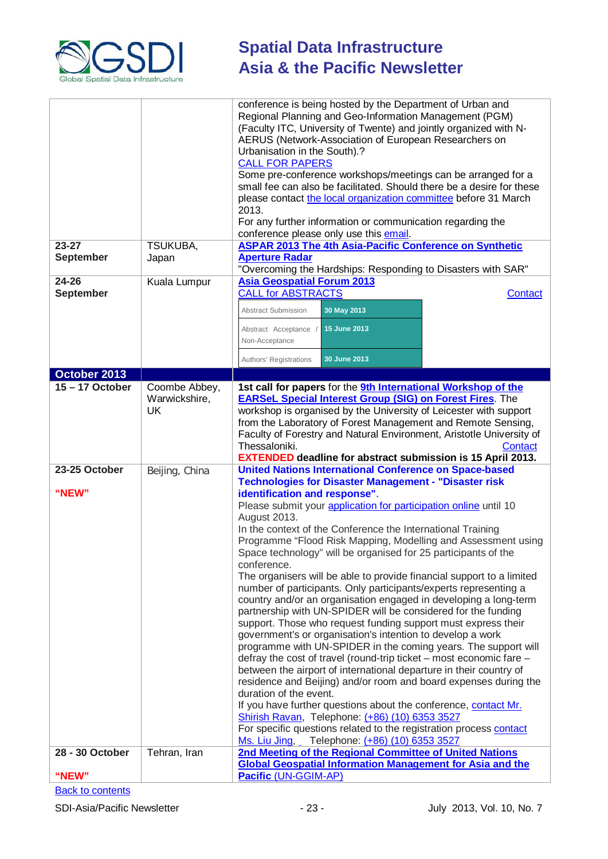

|                               |                                             | conference is being hosted by the Department of Urban and<br>Regional Planning and Geo-Information Management (PGM)<br>(Faculty ITC, University of Twente) and jointly organized with N-<br>AERUS (Network-Association of European Researchers on<br>Urbanisation in the South).?<br><b>CALL FOR PAPERS</b><br>Some pre-conference workshops/meetings can be arranged for a<br>small fee can also be facilitated. Should there be a desire for these<br>please contact the local organization committee before 31 March<br>2013.<br>For any further information or communication regarding the<br>conference please only use this email.                                                                                                                                                                                                                                                                                                                                                                                                                                                                                                                                                                                                                                                                                                                                     |
|-------------------------------|---------------------------------------------|------------------------------------------------------------------------------------------------------------------------------------------------------------------------------------------------------------------------------------------------------------------------------------------------------------------------------------------------------------------------------------------------------------------------------------------------------------------------------------------------------------------------------------------------------------------------------------------------------------------------------------------------------------------------------------------------------------------------------------------------------------------------------------------------------------------------------------------------------------------------------------------------------------------------------------------------------------------------------------------------------------------------------------------------------------------------------------------------------------------------------------------------------------------------------------------------------------------------------------------------------------------------------------------------------------------------------------------------------------------------------|
| $23 - 27$<br><b>September</b> | TSUKUBA,<br>Japan                           | <b>ASPAR 2013 The 4th Asia-Pacific Conference on Synthetic</b><br><b>Aperture Radar</b>                                                                                                                                                                                                                                                                                                                                                                                                                                                                                                                                                                                                                                                                                                                                                                                                                                                                                                                                                                                                                                                                                                                                                                                                                                                                                      |
|                               |                                             | "Overcoming the Hardships: Responding to Disasters with SAR"                                                                                                                                                                                                                                                                                                                                                                                                                                                                                                                                                                                                                                                                                                                                                                                                                                                                                                                                                                                                                                                                                                                                                                                                                                                                                                                 |
| $24 - 26$                     | Kuala Lumpur                                | <b>Asia Geospatial Forum 2013</b>                                                                                                                                                                                                                                                                                                                                                                                                                                                                                                                                                                                                                                                                                                                                                                                                                                                                                                                                                                                                                                                                                                                                                                                                                                                                                                                                            |
| <b>September</b>              |                                             | <b>CALL for ABSTRACTS</b><br><b>Contact</b>                                                                                                                                                                                                                                                                                                                                                                                                                                                                                                                                                                                                                                                                                                                                                                                                                                                                                                                                                                                                                                                                                                                                                                                                                                                                                                                                  |
|                               |                                             | 30 May 2013<br><b>Abstract Submission</b>                                                                                                                                                                                                                                                                                                                                                                                                                                                                                                                                                                                                                                                                                                                                                                                                                                                                                                                                                                                                                                                                                                                                                                                                                                                                                                                                    |
|                               |                                             | Abstract Acceptance /<br>15 June 2013                                                                                                                                                                                                                                                                                                                                                                                                                                                                                                                                                                                                                                                                                                                                                                                                                                                                                                                                                                                                                                                                                                                                                                                                                                                                                                                                        |
|                               |                                             | Non-Acceptance                                                                                                                                                                                                                                                                                                                                                                                                                                                                                                                                                                                                                                                                                                                                                                                                                                                                                                                                                                                                                                                                                                                                                                                                                                                                                                                                                               |
|                               |                                             | 30 June 2013<br>Authors' Registrations                                                                                                                                                                                                                                                                                                                                                                                                                                                                                                                                                                                                                                                                                                                                                                                                                                                                                                                                                                                                                                                                                                                                                                                                                                                                                                                                       |
| October 2013                  |                                             |                                                                                                                                                                                                                                                                                                                                                                                                                                                                                                                                                                                                                                                                                                                                                                                                                                                                                                                                                                                                                                                                                                                                                                                                                                                                                                                                                                              |
| $15 - 17$ October             | Coombe Abbey,<br>Warwickshire,<br><b>UK</b> | 1st call for papers for the 9th International Workshop of the<br><b>EARSeL Special Interest Group (SIG) on Forest Fires.</b> The<br>workshop is organised by the University of Leicester with support<br>from the Laboratory of Forest Management and Remote Sensing,<br>Faculty of Forestry and Natural Environment, Aristotle University of<br>Thessaloniki.<br>Contact<br><b>EXTENDED deadline for abstract submission is 15 April 2013.</b>                                                                                                                                                                                                                                                                                                                                                                                                                                                                                                                                                                                                                                                                                                                                                                                                                                                                                                                              |
| 23-25 October                 | Beijing, China                              | <b>United Nations International Conference on Space-based</b>                                                                                                                                                                                                                                                                                                                                                                                                                                                                                                                                                                                                                                                                                                                                                                                                                                                                                                                                                                                                                                                                                                                                                                                                                                                                                                                |
| "NEW"                         |                                             | <b>Technologies for Disaster Management - "Disaster risk</b><br>identification and response".<br>Please submit your application for participation online until 10<br>August 2013.<br>In the context of the Conference the International Training<br>Programme "Flood Risk Mapping, Modelling and Assessment using<br>Space technology" will be organised for 25 participants of the<br>conference.<br>The organisers will be able to provide financial support to a limited<br>number of participants. Only participants/experts representing a<br>country and/or an organisation engaged in developing a long-term<br>partnership with UN-SPIDER will be considered for the funding<br>support. Those who request funding support must express their<br>government's or organisation's intention to develop a work<br>programme with UN-SPIDER in the coming years. The support will<br>defray the cost of travel (round-trip ticket - most economic fare -<br>between the airport of international departure in their country of<br>residence and Beijing) and/or room and board expenses during the<br>duration of the event.<br>If you have further questions about the conference, contact Mr.<br>Shirish Ravan, Telephone: (+86) (10) 6353 3527<br>For specific questions related to the registration process contact<br>Ms. Liu Jing, Telephone: (+86) (10) 6353 3527 |
| 28 - 30 October               | Tehran, Iran                                | 2nd Meeting of the Regional Committee of United Nations                                                                                                                                                                                                                                                                                                                                                                                                                                                                                                                                                                                                                                                                                                                                                                                                                                                                                                                                                                                                                                                                                                                                                                                                                                                                                                                      |
| "NEW"                         |                                             | <b>Global Geospatial Information Management for Asia and the</b><br>Pacific (UN-GGIM-AP)                                                                                                                                                                                                                                                                                                                                                                                                                                                                                                                                                                                                                                                                                                                                                                                                                                                                                                                                                                                                                                                                                                                                                                                                                                                                                     |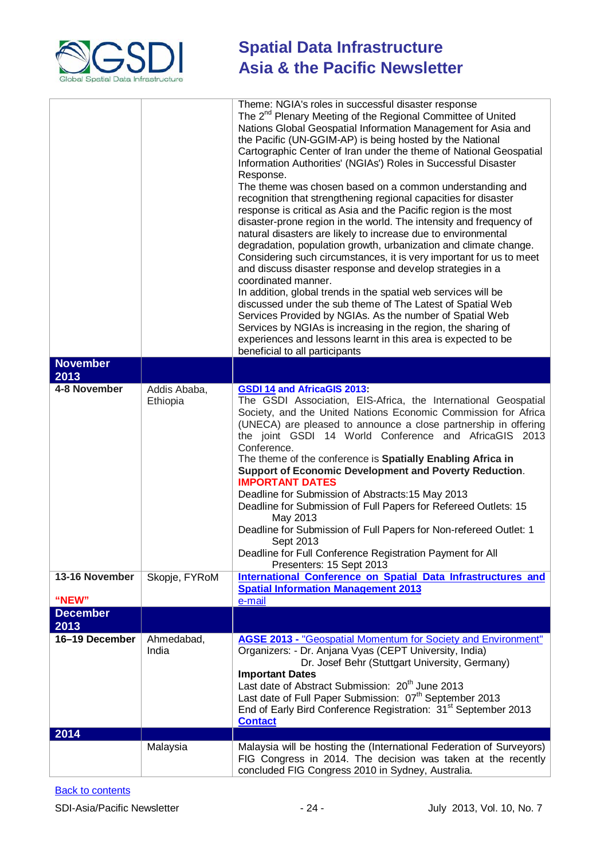

| <b>November</b>                |                                           | Theme: NGIA's roles in successful disaster response<br>The 2 <sup>nd</sup> Plenary Meeting of the Regional Committee of United<br>Nations Global Geospatial Information Management for Asia and<br>the Pacific (UN-GGIM-AP) is being hosted by the National<br>Cartographic Center of Iran under the theme of National Geospatial<br>Information Authorities' (NGIAs') Roles in Successful Disaster<br>Response.<br>The theme was chosen based on a common understanding and<br>recognition that strengthening regional capacities for disaster<br>response is critical as Asia and the Pacific region is the most<br>disaster-prone region in the world. The intensity and frequency of<br>natural disasters are likely to increase due to environmental<br>degradation, population growth, urbanization and climate change.<br>Considering such circumstances, it is very important for us to meet<br>and discuss disaster response and develop strategies in a<br>coordinated manner.<br>In addition, global trends in the spatial web services will be<br>discussed under the sub theme of The Latest of Spatial Web<br>Services Provided by NGIAs. As the number of Spatial Web<br>Services by NGIAs is increasing in the region, the sharing of<br>experiences and lessons learnt in this area is expected to be<br>beneficial to all participants |
|--------------------------------|-------------------------------------------|----------------------------------------------------------------------------------------------------------------------------------------------------------------------------------------------------------------------------------------------------------------------------------------------------------------------------------------------------------------------------------------------------------------------------------------------------------------------------------------------------------------------------------------------------------------------------------------------------------------------------------------------------------------------------------------------------------------------------------------------------------------------------------------------------------------------------------------------------------------------------------------------------------------------------------------------------------------------------------------------------------------------------------------------------------------------------------------------------------------------------------------------------------------------------------------------------------------------------------------------------------------------------------------------------------------------------------------------------------|
| 2013                           |                                           |                                                                                                                                                                                                                                                                                                                                                                                                                                                                                                                                                                                                                                                                                                                                                                                                                                                                                                                                                                                                                                                                                                                                                                                                                                                                                                                                                          |
| 4-8 November<br>13-16 November | Addis Ababa,<br>Ethiopia<br>Skopje, FYRoM | <b>GSDI 14 and AfricaGIS 2013:</b><br>The GSDI Association, EIS-Africa, the International Geospatial<br>Society, and the United Nations Economic Commission for Africa<br>(UNECA) are pleased to announce a close partnership in offering<br>the joint GSDI 14 World Conference and AfricaGIS 2013<br>Conference.<br>The theme of the conference is Spatially Enabling Africa in<br>Support of Economic Development and Poverty Reduction.<br><b>IMPORTANT DATES</b><br>Deadline for Submission of Abstracts: 15 May 2013<br>Deadline for Submission of Full Papers for Refereed Outlets: 15<br>May 2013<br>Deadline for Submission of Full Papers for Non-refereed Outlet: 1<br>Sept 2013<br>Deadline for Full Conference Registration Payment for All<br>Presenters: 15 Sept 2013<br>International Conference on Spatial Data Infrastructures and                                                                                                                                                                                                                                                                                                                                                                                                                                                                                                      |
|                                |                                           | <b>Spatial Information Management 2013</b>                                                                                                                                                                                                                                                                                                                                                                                                                                                                                                                                                                                                                                                                                                                                                                                                                                                                                                                                                                                                                                                                                                                                                                                                                                                                                                               |
| "NEW"<br><b>December</b>       |                                           | e-mail                                                                                                                                                                                                                                                                                                                                                                                                                                                                                                                                                                                                                                                                                                                                                                                                                                                                                                                                                                                                                                                                                                                                                                                                                                                                                                                                                   |
| 2013                           |                                           |                                                                                                                                                                                                                                                                                                                                                                                                                                                                                                                                                                                                                                                                                                                                                                                                                                                                                                                                                                                                                                                                                                                                                                                                                                                                                                                                                          |
| 16-19 December                 | Ahmedabad,<br>India                       | AGSE 2013 - "Geospatial Momentum for Society and Environment"<br>Organizers: - Dr. Anjana Vyas (CEPT University, India)<br>Dr. Josef Behr (Stuttgart University, Germany)<br><b>Important Dates</b><br>Last date of Abstract Submission: 20 <sup>th</sup> June 2013<br>Last date of Full Paper Submission: 07 <sup>th</sup> September 2013<br>End of Early Bird Conference Registration: 31 <sup>st</sup> September 2013<br><b>Contact</b>                                                                                                                                                                                                                                                                                                                                                                                                                                                                                                                                                                                                                                                                                                                                                                                                                                                                                                               |
| 2014                           |                                           |                                                                                                                                                                                                                                                                                                                                                                                                                                                                                                                                                                                                                                                                                                                                                                                                                                                                                                                                                                                                                                                                                                                                                                                                                                                                                                                                                          |
|                                | Malaysia                                  | Malaysia will be hosting the (International Federation of Surveyors)<br>FIG Congress in 2014. The decision was taken at the recently<br>concluded FIG Congress 2010 in Sydney, Australia.                                                                                                                                                                                                                                                                                                                                                                                                                                                                                                                                                                                                                                                                                                                                                                                                                                                                                                                                                                                                                                                                                                                                                                |